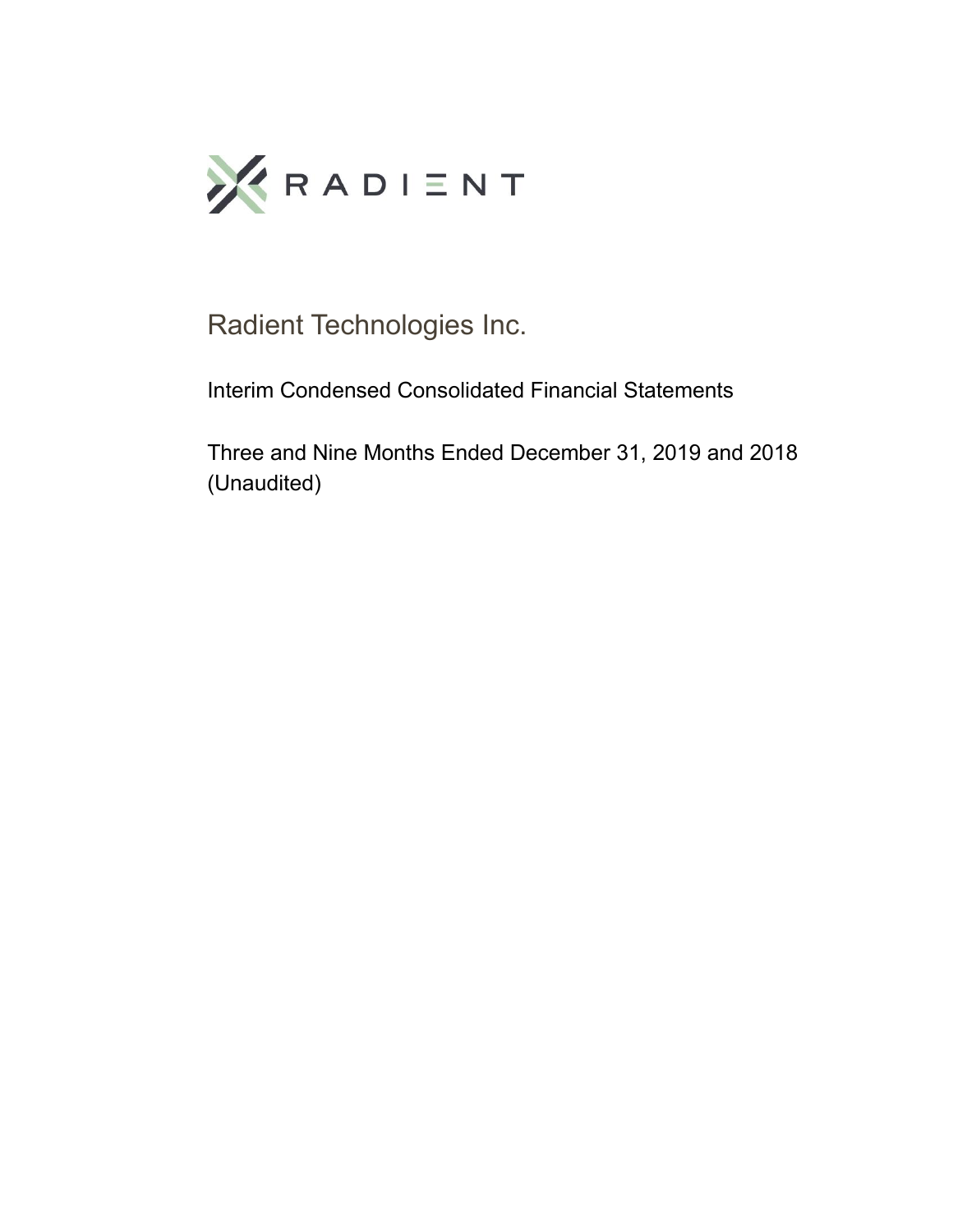

Radient Technologies Inc.

Interim Condensed Consolidated Financial Statements

Three and Nine Months Ended December 31, 2019 and 2018 (Unaudited)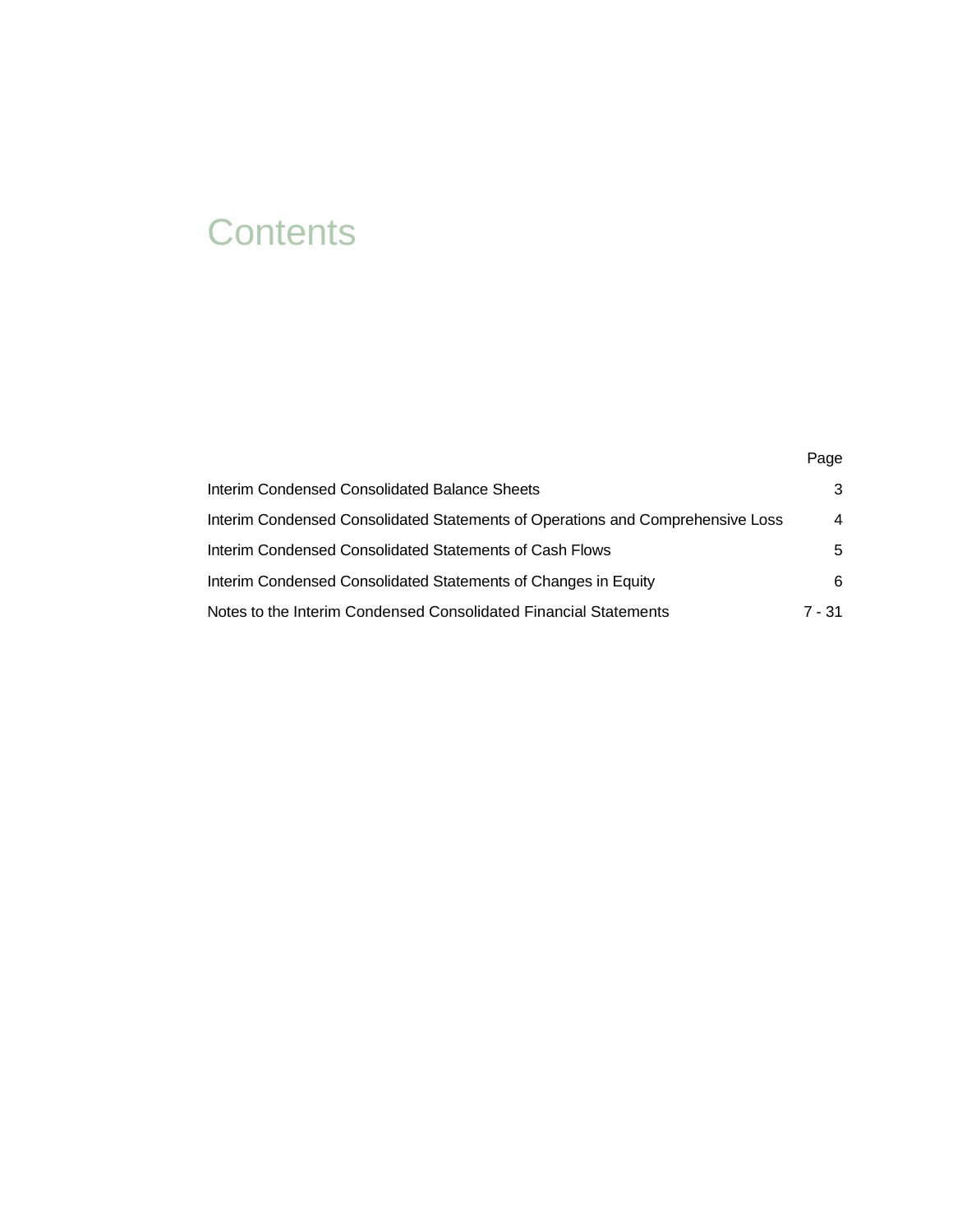# **Contents**

| <b>Interim Condensed Consolidated Balance Sheets</b>                           | 3              |
|--------------------------------------------------------------------------------|----------------|
| Interim Condensed Consolidated Statements of Operations and Comprehensive Loss | $\overline{4}$ |
| Interim Condensed Consolidated Statements of Cash Flows                        | 5              |
| Interim Condensed Consolidated Statements of Changes in Equity                 | 6              |
| Notes to the Interim Condensed Consolidated Financial Statements               | 7 - 31         |

Page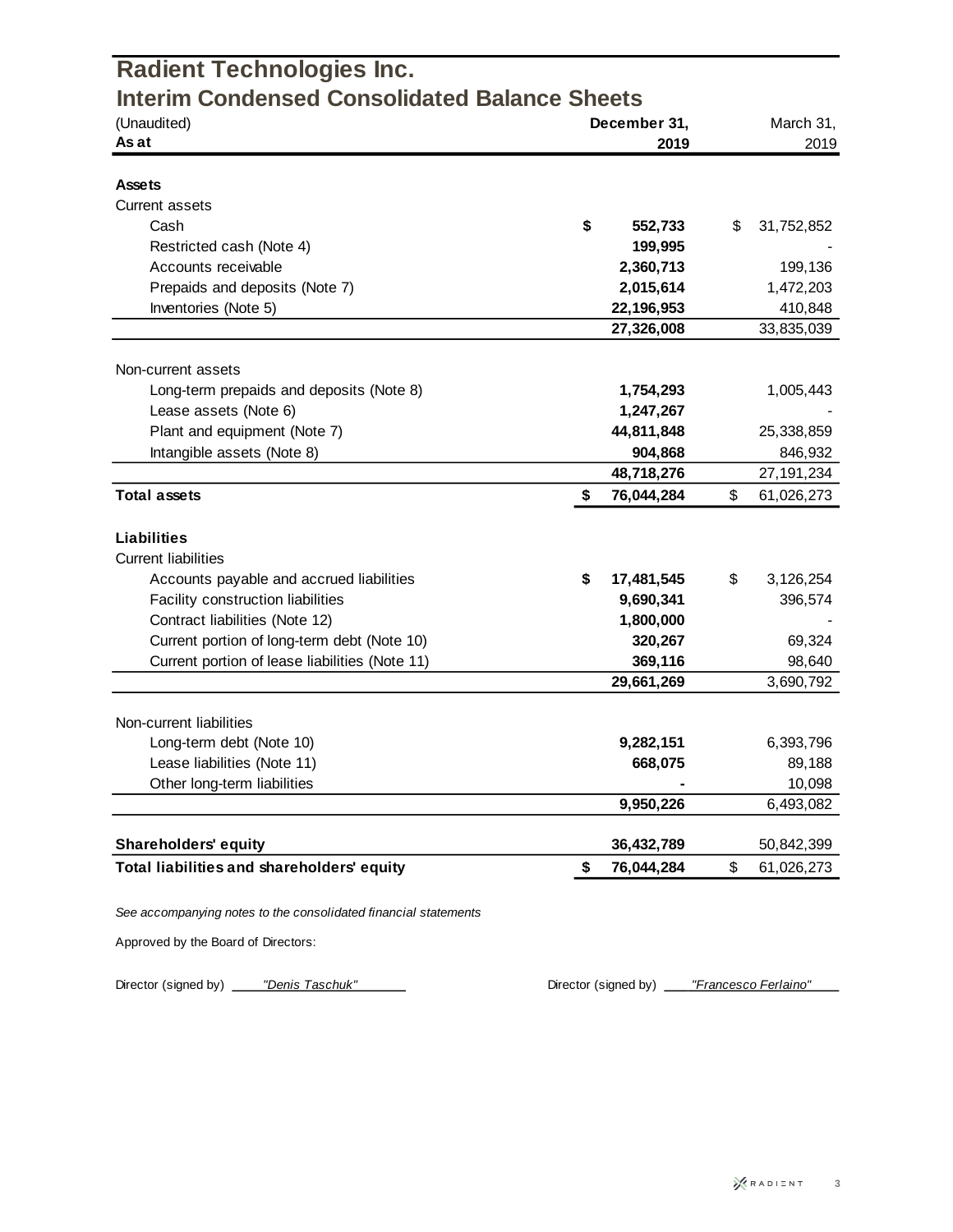| <b>Radient Technologies Inc.</b>                                |                      |                   |
|-----------------------------------------------------------------|----------------------|-------------------|
| <b>Interim Condensed Consolidated Balance Sheets</b>            |                      |                   |
| (Unaudited)<br>As at                                            | December 31,<br>2019 | March 31,<br>2019 |
|                                                                 |                      |                   |
| <b>Assets</b>                                                   |                      |                   |
| <b>Current assets</b>                                           |                      |                   |
| Cash                                                            | \$<br>552,733        | \$<br>31,752,852  |
| Restricted cash (Note 4)                                        | 199,995              |                   |
| Accounts receivable                                             | 2,360,713            | 199,136           |
| Prepaids and deposits (Note 7)                                  | 2,015,614            | 1,472,203         |
| Inventories (Note 5)                                            | 22,196,953           | 410,848           |
|                                                                 | 27,326,008           | 33,835,039        |
|                                                                 |                      |                   |
| Non-current assets                                              |                      |                   |
| Long-term prepaids and deposits (Note 8)                        | 1,754,293            | 1,005,443         |
| Lease assets (Note 6)                                           | 1,247,267            |                   |
| Plant and equipment (Note 7)                                    | 44,811,848           | 25,338,859        |
| Intangible assets (Note 8)                                      | 904,868              | 846,932           |
|                                                                 | 48,718,276           | 27, 191, 234      |
| <b>Total assets</b>                                             | \$<br>76,044,284     | \$<br>61,026,273  |
| <b>Liabilities</b>                                              |                      |                   |
| <b>Current liabilities</b>                                      |                      |                   |
| Accounts payable and accrued liabilities                        | \$<br>17,481,545     | \$<br>3,126,254   |
| Facility construction liabilities                               | 9,690,341            | 396,574           |
| Contract liabilities (Note 12)                                  | 1,800,000            |                   |
| Current portion of long-term debt (Note 10)                     | 320,267              | 69,324            |
| Current portion of lease liabilities (Note 11)                  | 369,116              | 98,640            |
|                                                                 | 29,661,269           | 3,690,792         |
|                                                                 |                      |                   |
| Non-current liabilities                                         |                      |                   |
| Long-term debt (Note 10)                                        | 9,282,151            | 6,393,796         |
| Lease liabilities (Note 11)                                     | 668,075              | 89,188            |
| Other long-term liabilities                                     |                      | 10,098            |
|                                                                 | 9,950,226            | 6,493,082         |
| <b>Shareholders' equity</b>                                     | 36,432,789           | 50,842,399        |
| Total liabilities and shareholders' equity                      | \$<br>76,044,284     | \$<br>61,026,273  |
|                                                                 |                      |                   |
| See accompanying notes to the consolidated financial statements |                      |                   |

Approved by the Board of Directors:

Director (signed by) *"Denis Taschuk"* **Director (signed by) "Francesco Ferlaino"**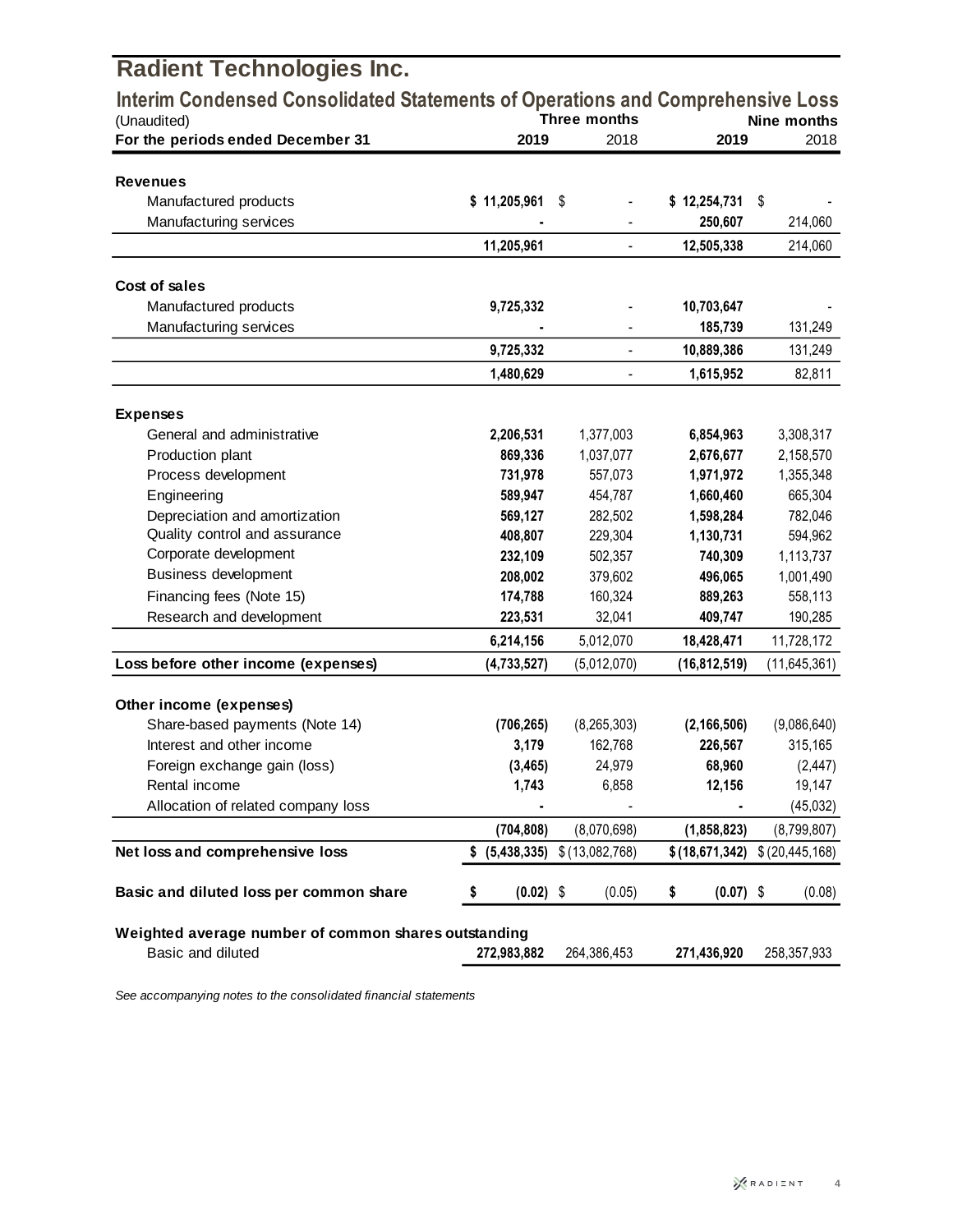| <b>Radient Technologies Inc.</b>                                                              |                   |                          |                   |                                   |
|-----------------------------------------------------------------------------------------------|-------------------|--------------------------|-------------------|-----------------------------------|
| Interim Condensed Consolidated Statements of Operations and Comprehensive Loss<br>(Unaudited) |                   | Three months             |                   | Nine months                       |
| For the periods ended December 31                                                             | 2019              | 2018                     | 2019              | 2018                              |
|                                                                                               |                   |                          |                   |                                   |
| <b>Revenues</b>                                                                               |                   |                          |                   |                                   |
| Manufactured products                                                                         | \$11,205,961      | \$                       | \$12,254,731      | \$                                |
| Manufacturing services                                                                        |                   |                          | 250,607           | 214,060                           |
|                                                                                               | 11,205,961        | $\overline{\phantom{0}}$ | 12,505,338        | 214,060                           |
| Cost of sales                                                                                 |                   |                          |                   |                                   |
| Manufactured products                                                                         | 9,725,332         |                          | 10,703,647        |                                   |
| Manufacturing services                                                                        |                   |                          | 185,739           | 131,249                           |
|                                                                                               | 9,725,332         | $\frac{1}{2}$            | 10,889,386        | 131,249                           |
|                                                                                               | 1,480,629         |                          | 1,615,952         | 82,811                            |
|                                                                                               |                   |                          |                   |                                   |
| <b>Expenses</b>                                                                               |                   |                          |                   |                                   |
| General and administrative                                                                    | 2,206,531         | 1,377,003                | 6,854,963         | 3,308,317                         |
| Production plant                                                                              | 869,336           | 1,037,077                | 2,676,677         | 2,158,570                         |
| Process development                                                                           | 731,978           | 557,073                  | 1,971,972         | 1,355,348                         |
| Engineering                                                                                   | 589,947           | 454,787                  | 1,660,460         | 665,304                           |
| Depreciation and amortization                                                                 | 569,127           | 282,502                  | 1,598,284         | 782,046                           |
| Quality control and assurance                                                                 | 408,807           | 229,304                  | 1,130,731         | 594,962                           |
| Corporate development<br><b>Business development</b>                                          | 232,109           | 502,357                  | 740,309           | 1,113,737                         |
|                                                                                               | 208,002           | 379,602                  | 496,065           | 1,001,490                         |
| Financing fees (Note 15)                                                                      | 174,788           | 160,324                  | 889,263           | 558,113                           |
| Research and development                                                                      | 223,531           | 32,041                   | 409,747           | 190,285                           |
|                                                                                               | 6,214,156         | 5,012,070                | 18,428,471        | 11,728,172                        |
| Loss before other income (expenses)                                                           | (4,733,527)       | (5,012,070)              | (16, 812, 519)    | (11, 645, 361)                    |
| Other income (expenses)                                                                       |                   |                          |                   |                                   |
| Share-based payments (Note 14)                                                                | (706, 265)        | (8, 265, 303)            | (2, 166, 506)     | (9,086,640)                       |
| Interest and other income                                                                     | 3,179             | 162,768                  | 226,567           | 315,165                           |
| Foreign exchange gain (loss)                                                                  | (3, 465)          | 24,979                   | 68,960            | (2, 447)                          |
| Rental income                                                                                 | 1,743             | 6,858                    | 12,156            | 19,147                            |
| Allocation of related company loss                                                            |                   |                          |                   | (45, 032)                         |
|                                                                                               | (704, 808)        | (8,070,698)              | (1,858,823)       | (8,799,807)                       |
| Net loss and comprehensive loss                                                               | (5,438,335)<br>\$ | \$(13,082,768)           |                   | $$ (18,671,342) \ $ (20,445,168)$ |
| Basic and diluted loss per common share                                                       | $(0.02)$ \$<br>\$ | (0.05)                   | $(0.07)$ \$<br>\$ | (0.08)                            |
| Weighted average number of common shares outstanding                                          |                   |                          |                   |                                   |
| Basic and diluted                                                                             | 272,983,882       | 264,386,453              | 271,436,920       | 258,357,933                       |

*See accompanying notes to the consolidated financial statements*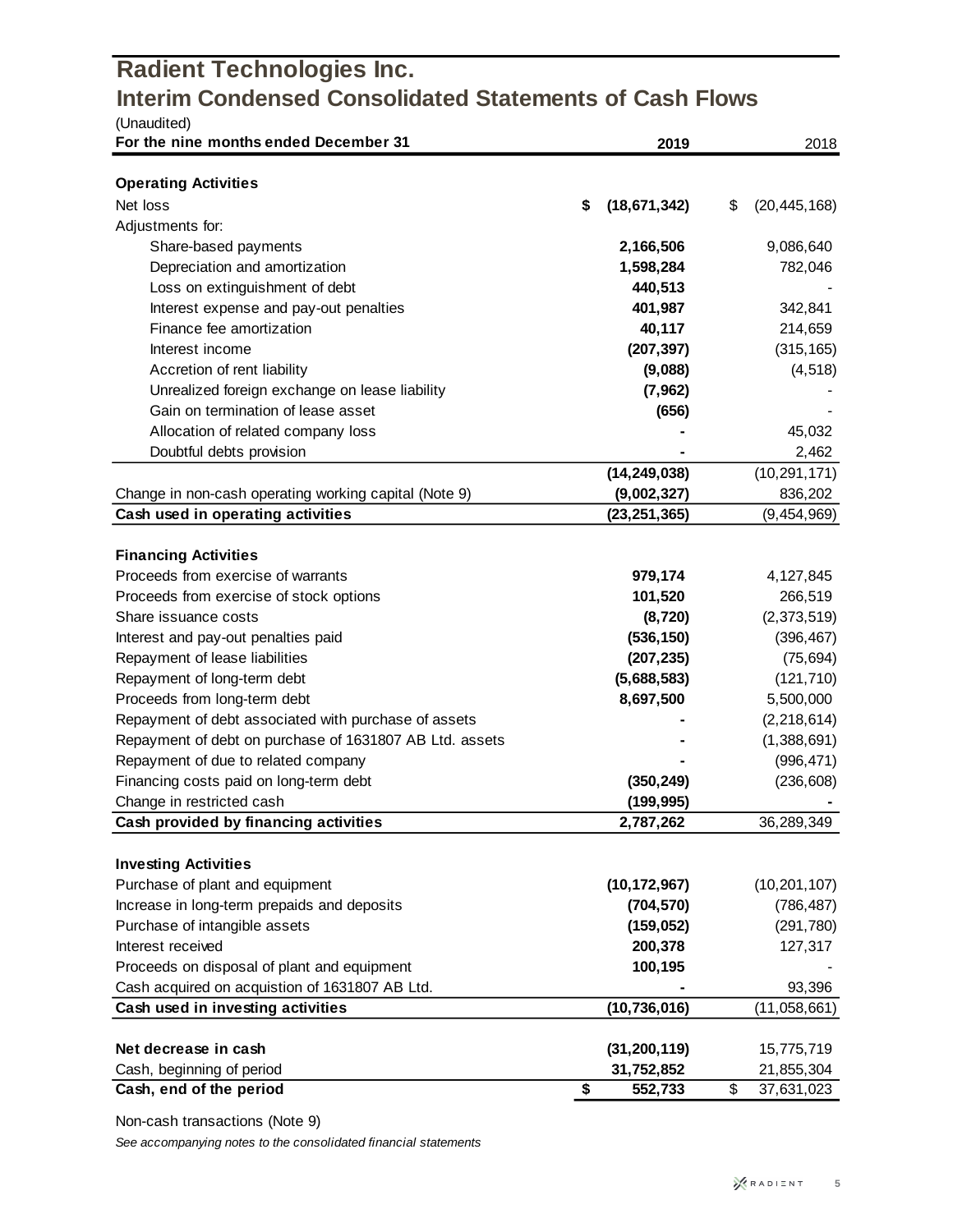### **Radient Technologies Inc. Interim Condensed Consolidated Statements of Cash Flows**  $(U_{\text{non-difad}})$

| (Unaudited)<br>For the nine months ended December 31    | 2019                 | 2018                 |
|---------------------------------------------------------|----------------------|----------------------|
|                                                         |                      |                      |
| <b>Operating Activities</b>                             |                      |                      |
| Net loss                                                | \$<br>(18, 671, 342) | \$<br>(20, 445, 168) |
| Adjustments for:                                        |                      |                      |
| Share-based payments                                    | 2,166,506            | 9,086,640            |
| Depreciation and amortization                           | 1,598,284            | 782,046              |
| Loss on extinguishment of debt                          | 440,513              |                      |
| Interest expense and pay-out penalties                  | 401,987              | 342,841              |
| Finance fee amortization                                | 40,117               | 214,659              |
| Interest income                                         | (207, 397)           | (315, 165)           |
| Accretion of rent liability                             | (9,088)              | (4, 518)             |
| Unrealized foreign exchange on lease liability          | (7, 962)             |                      |
| Gain on termination of lease asset                      | (656)                |                      |
| Allocation of related company loss                      |                      | 45,032               |
| Doubtful debts provision                                |                      | 2,462                |
|                                                         | (14, 249, 038)       | (10, 291, 171)       |
| Change in non-cash operating working capital (Note 9)   | (9,002,327)          | 836,202              |
| Cash used in operating activities                       | (23, 251, 365)       | (9,454,969)          |
| <b>Financing Activities</b>                             |                      |                      |
| Proceeds from exercise of warrants                      | 979,174              | 4,127,845            |
| Proceeds from exercise of stock options                 | 101,520              | 266,519              |
| Share issuance costs                                    | (8, 720)             | (2,373,519)          |
| Interest and pay-out penalties paid                     | (536, 150)           | (396, 467)           |
| Repayment of lease liabilities                          | (207, 235)           | (75, 694)            |
| Repayment of long-term debt                             | (5,688,583)          | (121, 710)           |
| Proceeds from long-term debt                            | 8,697,500            | 5,500,000            |
| Repayment of debt associated with purchase of assets    |                      | (2, 218, 614)        |
| Repayment of debt on purchase of 1631807 AB Ltd. assets |                      | (1,388,691)          |
| Repayment of due to related company                     |                      | (996, 471)           |
| Financing costs paid on long-term debt                  | (350, 249)           | (236, 608)           |
| Change in restricted cash                               | (199, 995)           |                      |
| Cash provided by financing activities                   | 2,787,262            | 36,289,349           |
|                                                         |                      |                      |
| <b>Investing Activities</b>                             |                      |                      |
| Purchase of plant and equipment                         | (10, 172, 967)       | (10, 201, 107)       |
| Increase in long-term prepaids and deposits             | (704, 570)           | (786, 487)           |
| Purchase of intangible assets                           | (159, 052)           | (291, 780)           |
| Interest received                                       | 200,378              | 127,317              |
| Proceeds on disposal of plant and equipment             | 100,195              |                      |
| Cash acquired on acquistion of 1631807 AB Ltd.          |                      | 93,396               |
| Cash used in investing activities                       | (10, 736, 016)       | (11,058,661)         |
|                                                         |                      |                      |
| Net decrease in cash                                    | (31, 200, 119)       | 15,775,719           |
| Cash, beginning of period                               | 31,752,852           | \$<br>21,855,304     |
| Cash, end of the period                                 | \$<br>552,733        | 37,631,023           |

Non-cash transactions (Note 9)

*See accompanying notes to the consolidated financial statements*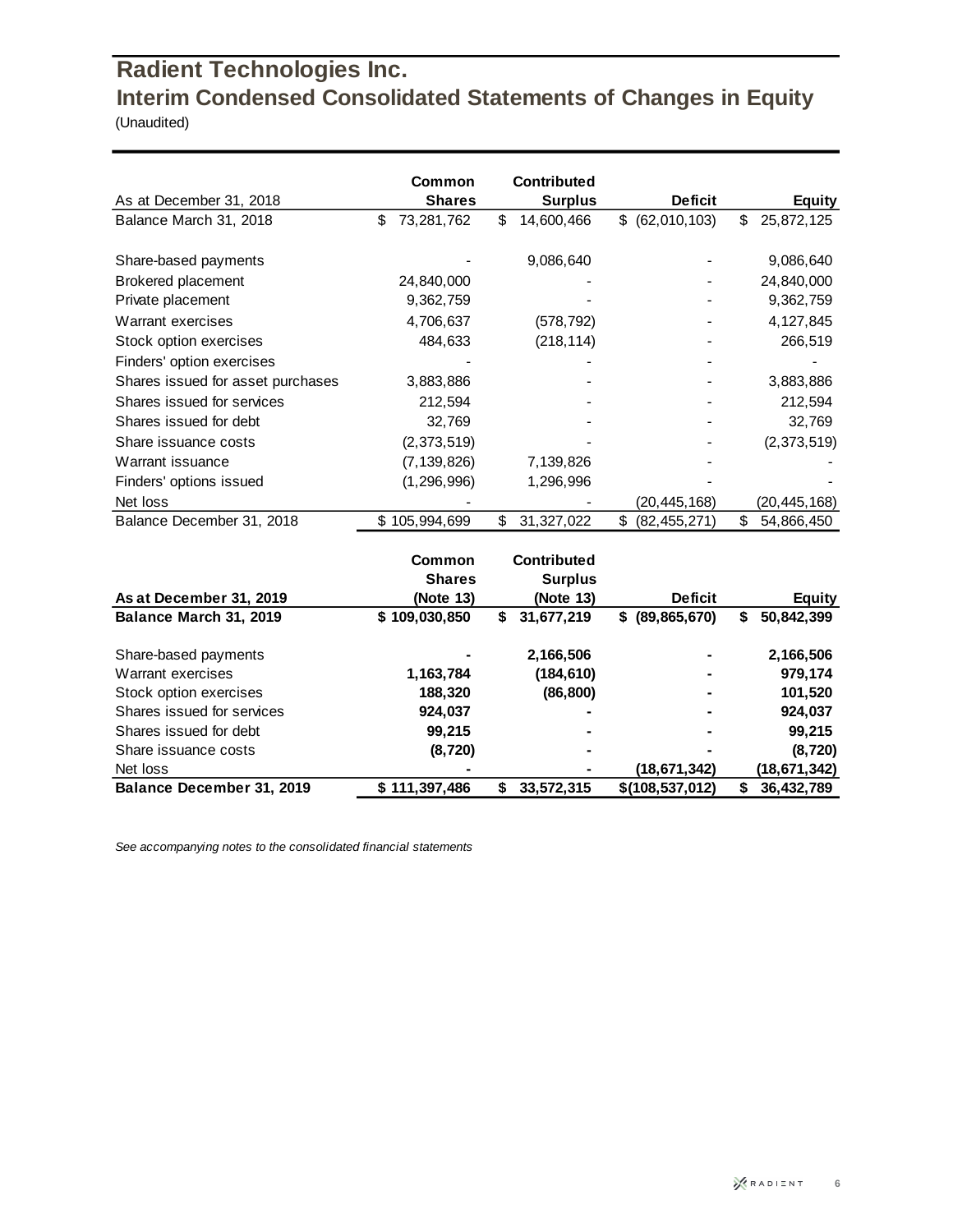## **Radient Technologies Inc. Interim Condensed Consolidated Statements of Changes in Equity**

(Unaudited)

|                                   | Common           | Contributed      |                      |                  |
|-----------------------------------|------------------|------------------|----------------------|------------------|
| As at December 31, 2018           | <b>Shares</b>    | <b>Surplus</b>   | <b>Deficit</b>       | <b>Equity</b>    |
| Balance March 31, 2018            | \$<br>73,281,762 | \$<br>14,600,466 | \$ (62,010,103)      | \$<br>25,872,125 |
| Share-based payments              |                  | 9,086,640        |                      | 9,086,640        |
| Brokered placement                | 24,840,000       |                  |                      | 24,840,000       |
| Private placement                 | 9,362,759        |                  |                      | 9,362,759        |
| Warrant exercises                 | 4,706,637        | (578,792)        |                      | 4,127,845        |
| Stock option exercises            | 484,633          | (218, 114)       |                      | 266,519          |
| Finders' option exercises         |                  |                  |                      |                  |
| Shares issued for asset purchases | 3,883,886        |                  |                      | 3,883,886        |
| Shares issued for services        | 212,594          |                  |                      | 212,594          |
| Shares issued for debt            | 32,769           |                  |                      | 32,769           |
| Share issuance costs              | (2,373,519)      |                  |                      | (2,373,519)      |
| Warrant issuance                  | (7, 139, 826)    | 7,139,826        |                      |                  |
| Finders' options issued           | (1, 296, 996)    | 1,296,996        |                      |                  |
| Net loss                          |                  |                  | (20,445,168)         | (20,445,168)     |
| Balance December 31, 2018         | 105,994,699      | \$<br>31,327,022 | \$<br>(82, 455, 271) | \$<br>54,866,450 |
|                                   |                  |                  |                      |                  |

|                                  | Common<br><b>Shares</b> | <b>Contributed</b><br><b>Surplus</b> | <b>Deficit</b>    |                 |
|----------------------------------|-------------------------|--------------------------------------|-------------------|-----------------|
| As at December 31, 2019          | (Note 13)               | (Note 13)                            |                   | <b>Equity</b>   |
| Balance March 31, 2019           | \$109,030,850           | 31,677,219<br>\$                     | \$ (89, 865, 670) | 50,842,399<br>S |
| Share-based payments             |                         | 2,166,506                            |                   | 2,166,506       |
| Warrant exercises                | 1,163,784               | (184, 610)                           |                   | 979.174         |
| Stock option exercises           | 188,320                 | (86, 800)                            |                   | 101,520         |
| Shares issued for services       | 924,037                 |                                      |                   | 924,037         |
| Shares issued for debt           | 99,215                  |                                      | -                 | 99,215          |
| Share issuance costs             | (8, 720)                |                                      |                   | (8, 720)        |
| Net loss                         | ۰                       |                                      | (18, 671, 342)    | (18, 671, 342)  |
| <b>Balance December 31, 2019</b> | \$111,397,486           | 33,572,315<br>S                      | \$(108, 537, 012) | 36,432,789<br>S |

*See accompanying notes to the consolidated financial statements*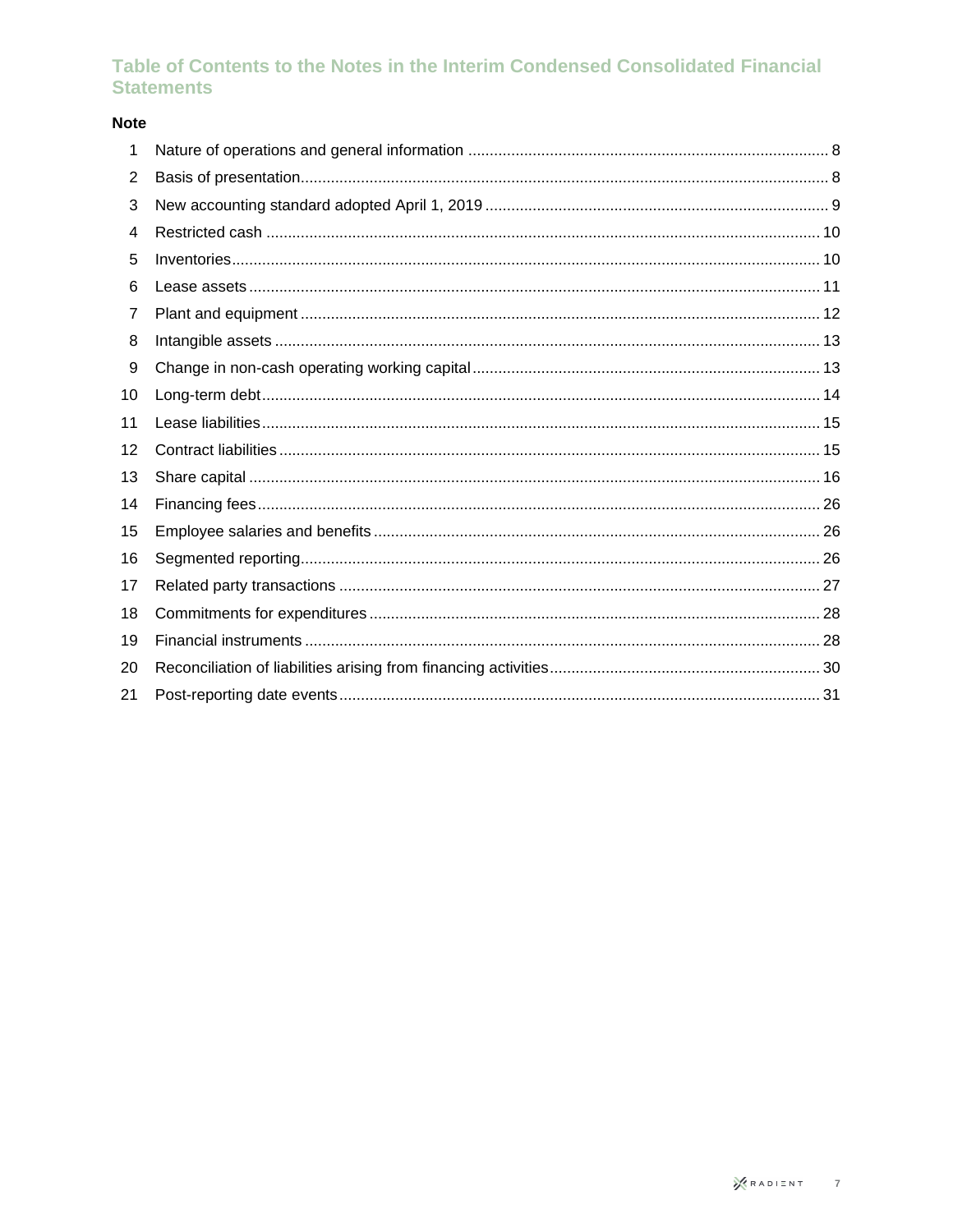### Table of Contents to the Notes in the Interim Condensed Consolidated Financial **Statements**

### **Note**

| 1  |  |
|----|--|
| 2  |  |
| 3  |  |
| 4  |  |
| 5  |  |
| 6  |  |
| 7  |  |
| 8  |  |
| 9  |  |
| 10 |  |
| 11 |  |
| 12 |  |
| 13 |  |
| 14 |  |
| 15 |  |
| 16 |  |
| 17 |  |
| 18 |  |
| 19 |  |
| 20 |  |
| 21 |  |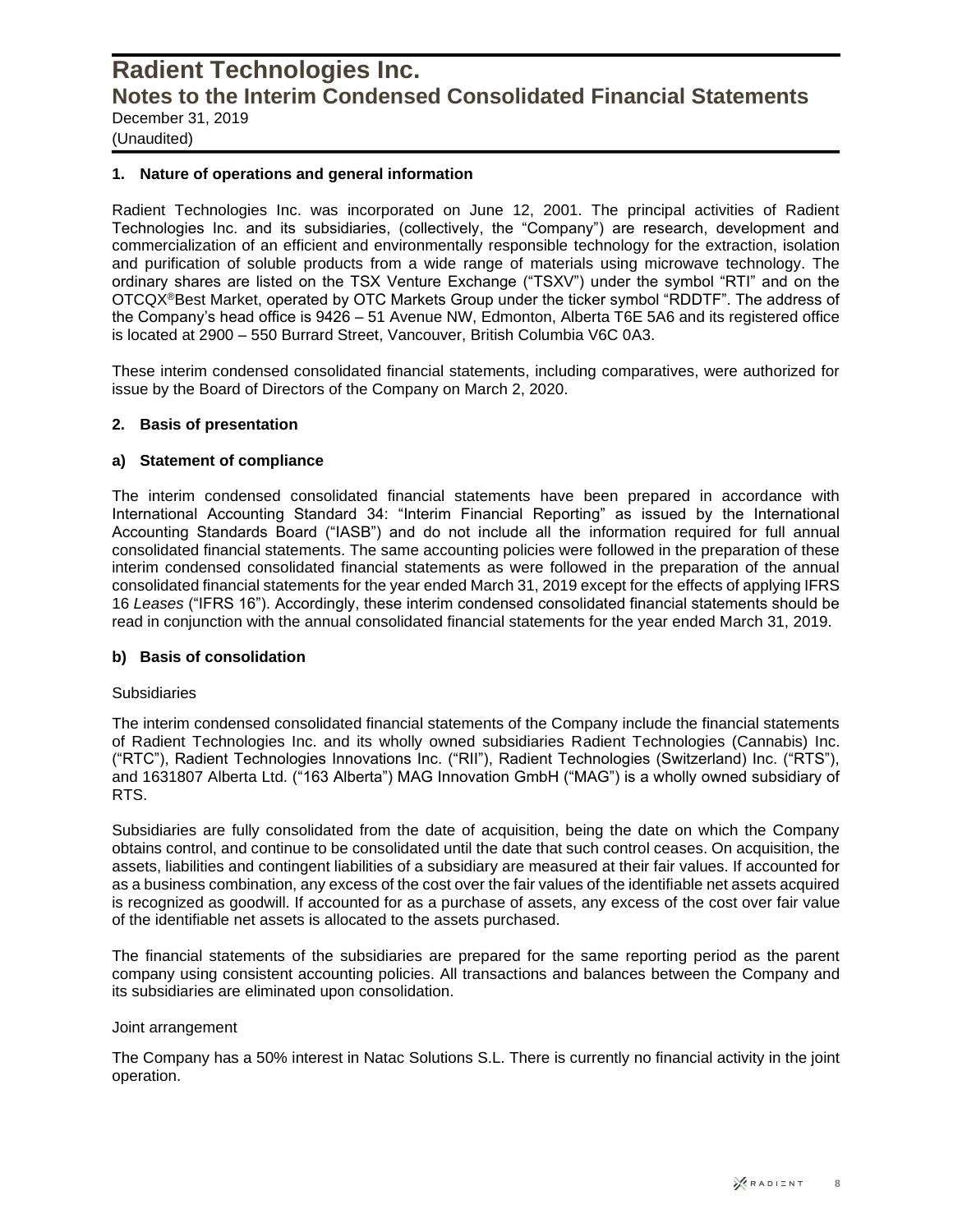(Unaudited)

#### **1. Nature of operations and general information**

Radient Technologies Inc. was incorporated on June 12, 2001. The principal activities of Radient Technologies Inc. and its subsidiaries, (collectively, the "Company") are research, development and commercialization of an efficient and environmentally responsible technology for the extraction, isolation and purification of soluble products from a wide range of materials using microwave technology. The ordinary shares are listed on the TSX Venture Exchange ("TSXV") under the symbol "RTI" and on the OTCQX®Best Market, operated by OTC Markets Group under the ticker symbol "RDDTF". The address of the Company's head office is 9426 – 51 Avenue NW, Edmonton, Alberta T6E 5A6 and its registered office is located at 2900 – 550 Burrard Street, Vancouver, British Columbia V6C 0A3.

These interim condensed consolidated financial statements, including comparatives, were authorized for issue by the Board of Directors of the Company on March 2, 2020.

#### **2. Basis of presentation**

#### **a) Statement of compliance**

The interim condensed consolidated financial statements have been prepared in accordance with International Accounting Standard 34: "Interim Financial Reporting" as issued by the International Accounting Standards Board ("IASB") and do not include all the information required for full annual consolidated financial statements. The same accounting policies were followed in the preparation of these interim condensed consolidated financial statements as were followed in the preparation of the annual consolidated financial statements for the year ended March 31, 2019 except for the effects of applying IFRS 16 *Leases* ("IFRS 16"). Accordingly, these interim condensed consolidated financial statements should be read in conjunction with the annual consolidated financial statements for the year ended March 31, 2019.

#### **b) Basis of consolidation**

#### **Subsidiaries**

The interim condensed consolidated financial statements of the Company include the financial statements of Radient Technologies Inc. and its wholly owned subsidiaries Radient Technologies (Cannabis) Inc. ("RTC"), Radient Technologies Innovations Inc. ("RII"), Radient Technologies (Switzerland) Inc. ("RTS"), and 1631807 Alberta Ltd. ("163 Alberta") MAG Innovation GmbH ("MAG") is a wholly owned subsidiary of RTS.

Subsidiaries are fully consolidated from the date of acquisition, being the date on which the Company obtains control, and continue to be consolidated until the date that such control ceases. On acquisition, the assets, liabilities and contingent liabilities of a subsidiary are measured at their fair values. If accounted for as a business combination, any excess of the cost over the fair values of the identifiable net assets acquired is recognized as goodwill. If accounted for as a purchase of assets, any excess of the cost over fair value of the identifiable net assets is allocated to the assets purchased.

The financial statements of the subsidiaries are prepared for the same reporting period as the parent company using consistent accounting policies. All transactions and balances between the Company and its subsidiaries are eliminated upon consolidation.

#### Joint arrangement

The Company has a 50% interest in Natac Solutions S.L. There is currently no financial activity in the joint operation.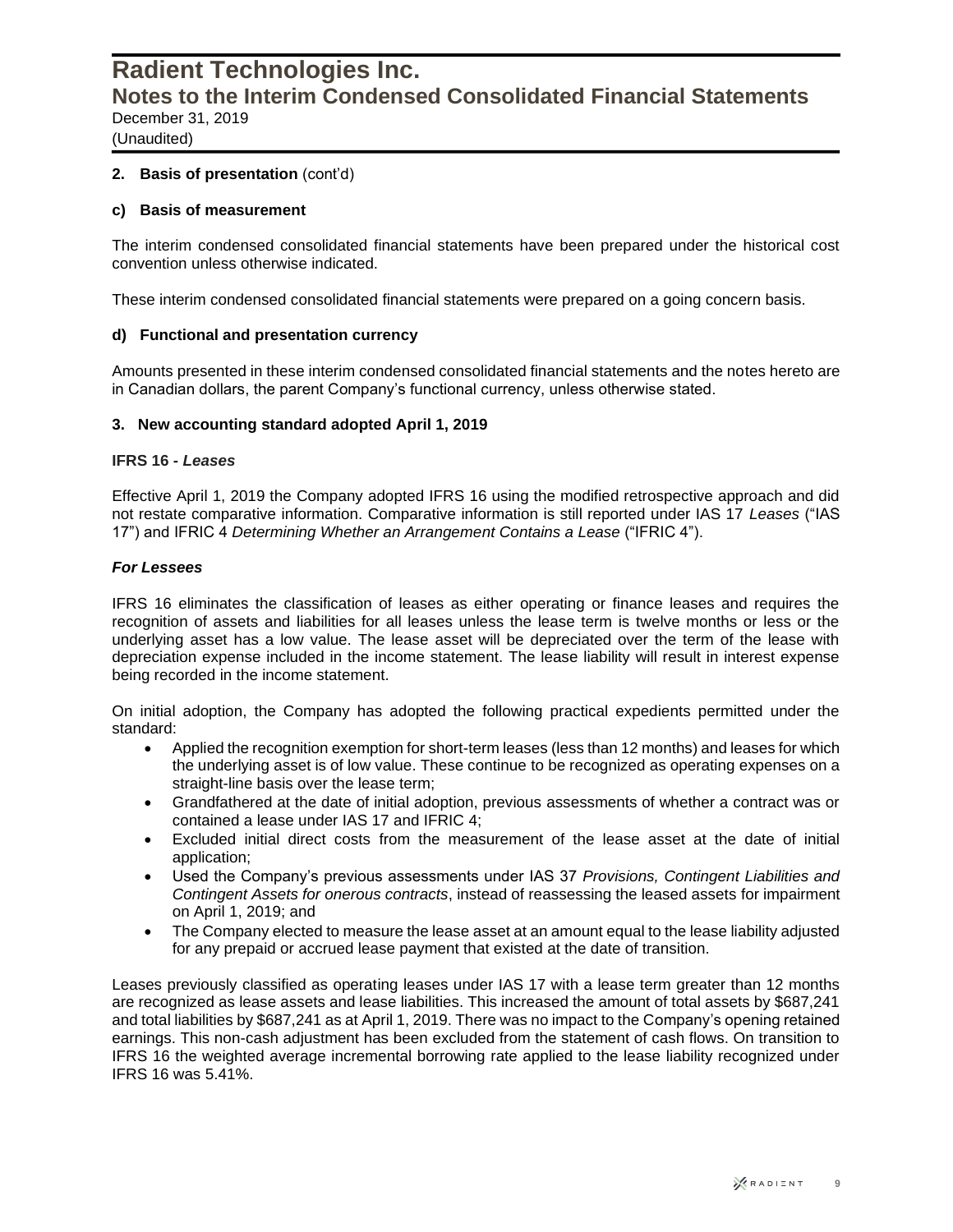(Unaudited)

#### **2. Basis of presentation** (cont'd)

#### **c) Basis of measurement**

The interim condensed consolidated financial statements have been prepared under the historical cost convention unless otherwise indicated.

These interim condensed consolidated financial statements were prepared on a going concern basis.

#### **d) Functional and presentation currency**

Amounts presented in these interim condensed consolidated financial statements and the notes hereto are in Canadian dollars, the parent Company's functional currency, unless otherwise stated.

#### **3. New accounting standard adopted April 1, 2019**

#### **IFRS 16 -** *Leases*

Effective April 1, 2019 the Company adopted IFRS 16 using the modified retrospective approach and did not restate comparative information. Comparative information is still reported under IAS 17 *Leases* ("IAS 17") and IFRIC 4 *Determining Whether an Arrangement Contains a Lease* ("IFRIC 4").

#### *For Lessees*

IFRS 16 eliminates the classification of leases as either operating or finance leases and requires the recognition of assets and liabilities for all leases unless the lease term is twelve months or less or the underlying asset has a low value. The lease asset will be depreciated over the term of the lease with depreciation expense included in the income statement. The lease liability will result in interest expense being recorded in the income statement.

On initial adoption, the Company has adopted the following practical expedients permitted under the standard:

- Applied the recognition exemption for short-term leases (less than 12 months) and leases for which the underlying asset is of low value. These continue to be recognized as operating expenses on a straight-line basis over the lease term;
- Grandfathered at the date of initial adoption, previous assessments of whether a contract was or contained a lease under IAS 17 and IFRIC 4;
- Excluded initial direct costs from the measurement of the lease asset at the date of initial application;
- Used the Company's previous assessments under IAS 37 *Provisions, Contingent Liabilities and Contingent Assets for onerous contracts*, instead of reassessing the leased assets for impairment on April 1, 2019; and
- The Company elected to measure the lease asset at an amount equal to the lease liability adjusted for any prepaid or accrued lease payment that existed at the date of transition.

Leases previously classified as operating leases under IAS 17 with a lease term greater than 12 months are recognized as lease assets and lease liabilities. This increased the amount of total assets by \$687,241 and total liabilities by \$687,241 as at April 1, 2019. There was no impact to the Company's opening retained earnings. This non-cash adjustment has been excluded from the statement of cash flows. On transition to IFRS 16 the weighted average incremental borrowing rate applied to the lease liability recognized under IFRS 16 was 5.41%.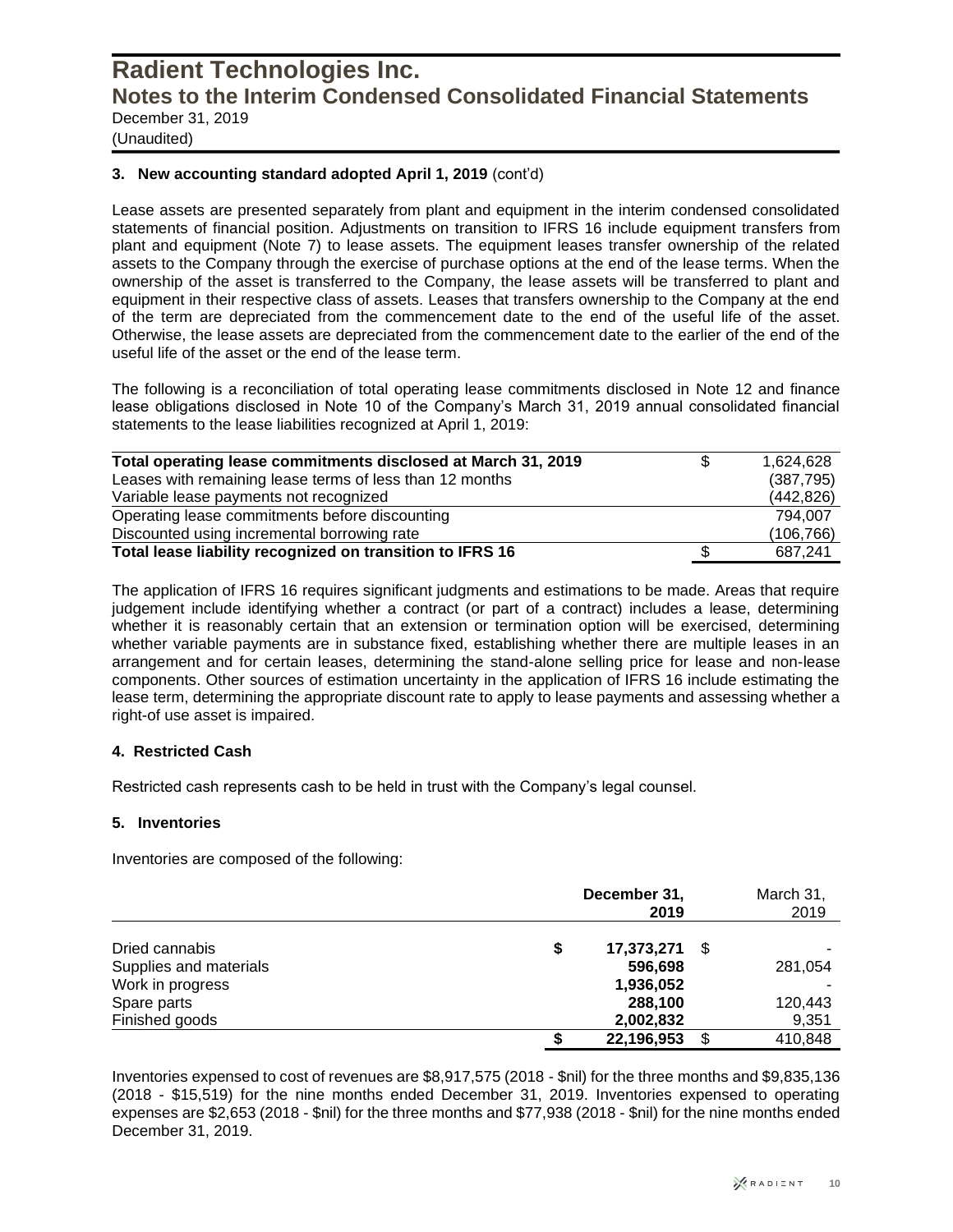(Unaudited)

#### **3. New accounting standard adopted April 1, 2019** (cont'd)

Lease assets are presented separately from plant and equipment in the interim condensed consolidated statements of financial position. Adjustments on transition to IFRS 16 include equipment transfers from plant and equipment (Note 7) to lease assets. The equipment leases transfer ownership of the related assets to the Company through the exercise of purchase options at the end of the lease terms. When the ownership of the asset is transferred to the Company, the lease assets will be transferred to plant and equipment in their respective class of assets. Leases that transfers ownership to the Company at the end of the term are depreciated from the commencement date to the end of the useful life of the asset. Otherwise, the lease assets are depreciated from the commencement date to the earlier of the end of the useful life of the asset or the end of the lease term.

The following is a reconciliation of total operating lease commitments disclosed in Note 12 and finance lease obligations disclosed in Note 10 of the Company's March 31, 2019 annual consolidated financial statements to the lease liabilities recognized at April 1, 2019:

| Total operating lease commitments disclosed at March 31, 2019 | S | 1.624.628  |
|---------------------------------------------------------------|---|------------|
| Leases with remaining lease terms of less than 12 months      |   | (387, 795) |
| Variable lease payments not recognized                        |   | (442, 826) |
| Operating lease commitments before discounting                |   | 794.007    |
| Discounted using incremental borrowing rate                   |   | (106, 766) |
| Total lease liability recognized on transition to IFRS 16     |   | 687.241    |

The application of IFRS 16 requires significant judgments and estimations to be made. Areas that require judgement include identifying whether a contract (or part of a contract) includes a lease, determining whether it is reasonably certain that an extension or termination option will be exercised, determining whether variable payments are in substance fixed, establishing whether there are multiple leases in an arrangement and for certain leases, determining the stand-alone selling price for lease and non-lease components. Other sources of estimation uncertainty in the application of IFRS 16 include estimating the lease term, determining the appropriate discount rate to apply to lease payments and assessing whether a right-of use asset is impaired.

#### **4. Restricted Cash**

Restricted cash represents cash to be held in trust with the Company's legal counsel.

#### **5. Inventories**

Inventories are composed of the following:

| Dried cannabis         | December 31,<br>2019 |      |         |  |  |  |
|------------------------|----------------------|------|---------|--|--|--|
|                        | \$<br>17,373,271     | - \$ |         |  |  |  |
| Supplies and materials | 596,698              |      | 281,054 |  |  |  |
| Work in progress       | 1,936,052            |      |         |  |  |  |
| Spare parts            | 288,100              |      | 120,443 |  |  |  |
| Finished goods         | 2,002,832            |      | 9,351   |  |  |  |
|                        | 22,196,953           | S    | 410,848 |  |  |  |

Inventories expensed to cost of revenues are \$8,917,575 (2018 - \$nil) for the three months and \$9,835,136 (2018 - \$15,519) for the nine months ended December 31, 2019. Inventories expensed to operating expenses are \$2,653 (2018 - \$nil) for the three months and \$77,938 (2018 - \$nil) for the nine months ended December 31, 2019.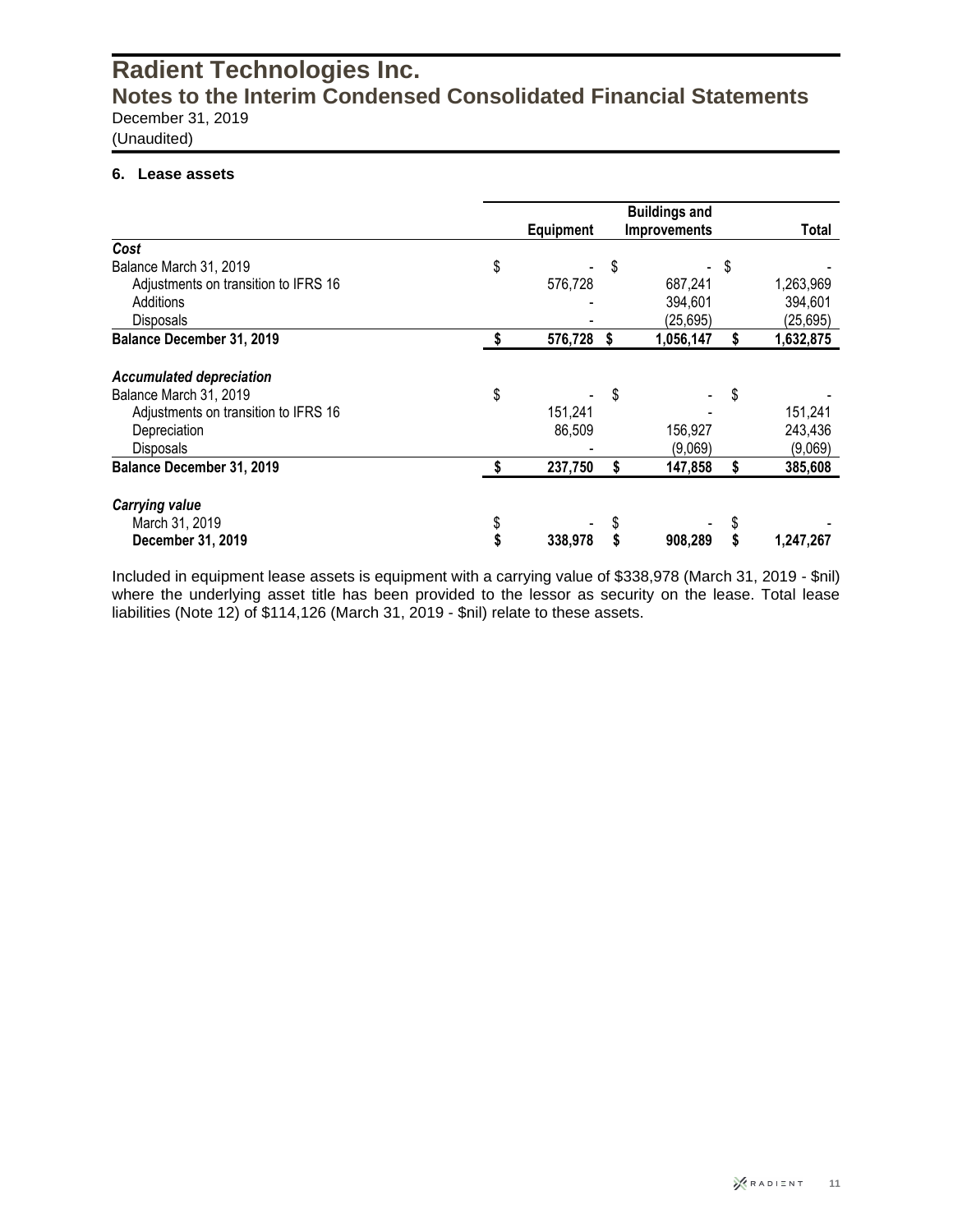(Unaudited)

#### **6. Lease assets**

|                                      | <b>Equipment</b> |    | <b>Buildings and</b><br><b>Improvements</b> |    | Total     |
|--------------------------------------|------------------|----|---------------------------------------------|----|-----------|
| Cost                                 |                  |    |                                             |    |           |
| Balance March 31, 2019               | \$               | \$ |                                             | S  |           |
| Adjustments on transition to IFRS 16 | 576,728          |    | 687,241                                     |    | 1,263,969 |
| Additions                            |                  |    | 394,601                                     |    | 394,601   |
| <b>Disposals</b>                     |                  |    | (25, 695)                                   |    | (25, 695) |
| Balance December 31, 2019            | 576,728          | 5  | 1,056,147                                   | \$ | 1,632,875 |
| <b>Accumulated depreciation</b>      |                  |    |                                             |    |           |
| Balance March 31, 2019               | \$               | \$ |                                             | \$ |           |
| Adjustments on transition to IFRS 16 | 151,241          |    |                                             |    | 151,241   |
| Depreciation                         | 86,509           |    | 156,927                                     |    | 243,436   |
| <b>Disposals</b>                     |                  |    | (9,069)                                     |    | (9,069)   |
| Balance December 31, 2019            | 237,750          | \$ | 147,858                                     | \$ | 385,608   |
| <b>Carrying value</b>                |                  |    |                                             |    |           |
| March 31, 2019                       | \$               |    |                                             |    |           |
| December 31, 2019                    | 338,978          |    | 908.289                                     |    | 1,247,267 |

Included in equipment lease assets is equipment with a carrying value of \$338,978 (March 31, 2019 - \$nil) where the underlying asset title has been provided to the lessor as security on the lease. Total lease liabilities (Note 12) of \$114,126 (March 31, 2019 - \$nil) relate to these assets.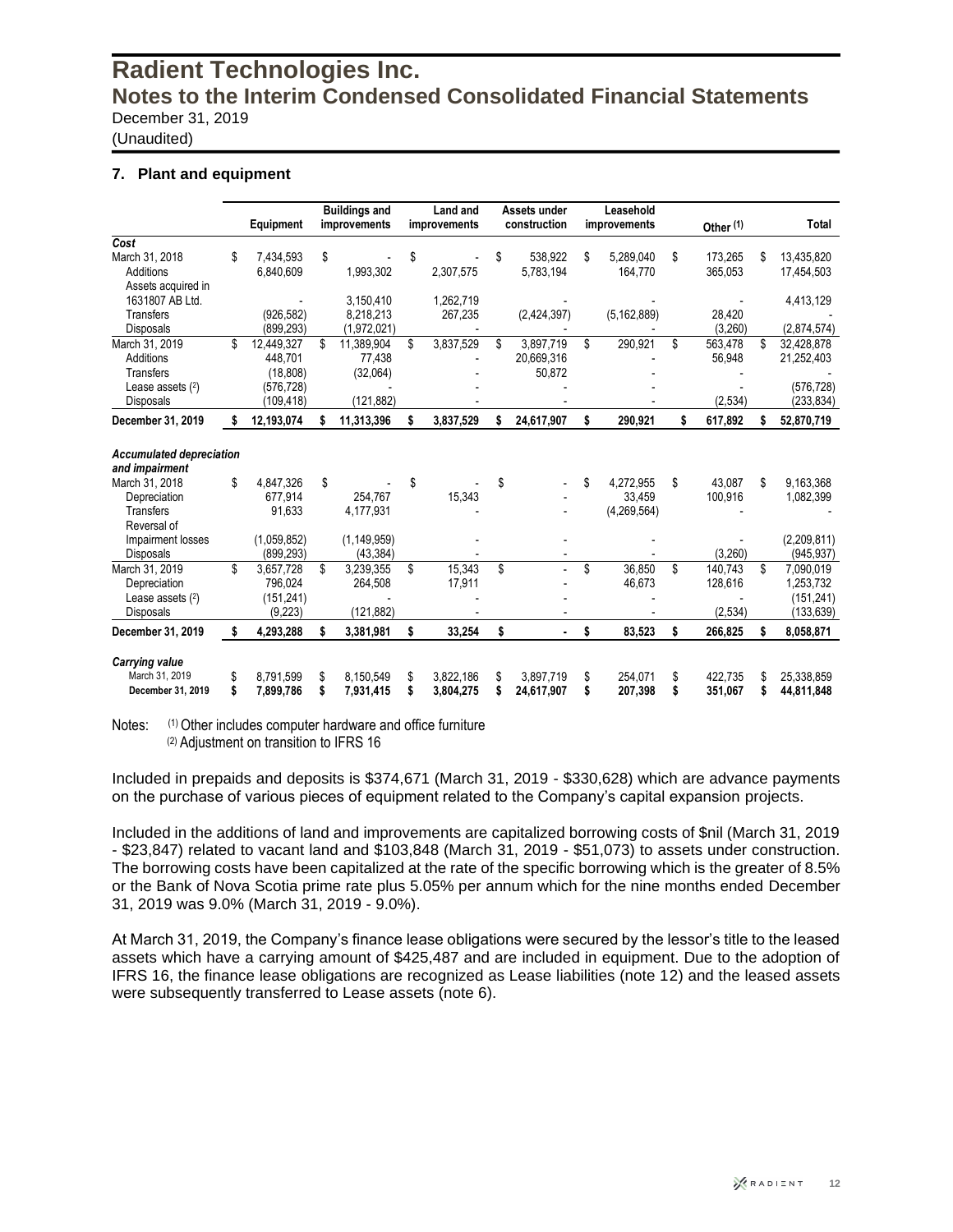(Unaudited)

#### **7. Plant and equipment**

|                                 |                  | <b>Buildings and</b> | Land and        | Assets under         |    | Leasehold     |                      |                  |
|---------------------------------|------------------|----------------------|-----------------|----------------------|----|---------------|----------------------|------------------|
|                                 | Equipment        | improvements         | improvements    | construction         |    | improvements  | Other <sup>(1)</sup> | Total            |
| Cost                            |                  |                      |                 |                      |    |               |                      |                  |
| March 31, 2018                  | \$<br>7.434.593  | \$                   | \$              | \$<br>538.922        | \$ | 5.289.040     | \$<br>173,265        | \$<br>13.435.820 |
| Additions                       | 6,840,609        | 1,993,302            | 2,307,575       | 5,783,194            |    | 164,770       | 365,053              | 17,454,503       |
| Assets acquired in              |                  |                      |                 |                      |    |               |                      |                  |
| 1631807 AB Ltd.                 |                  | 3,150,410            | 1,262,719       |                      |    |               |                      | 4,413,129        |
| <b>Transfers</b>                | (926, 582)       | 8,218,213            | 267,235         | (2,424,397)          |    | (5, 162, 889) | 28,420               |                  |
| <b>Disposals</b>                | (899, 293)       | (1,972,021)          |                 |                      |    |               | (3,260)              | (2,874,574)      |
| March 31, 2019                  | \$<br>12,449,327 | \$<br>11,389,904     | \$<br>3,837,529 | \$<br>3,897,719      | \$ | 290,921       | \$<br>563,478        | \$<br>32,428,878 |
| Additions                       | 448.701          | 77,438               |                 | 20,669,316           |    |               | 56,948               | 21,252,403       |
| <b>Transfers</b>                | (18, 808)        | (32,064)             |                 | 50,872               |    |               |                      |                  |
| Lease assets (2)                | (576, 728)       |                      |                 |                      |    |               |                      | (576, 728)       |
| <b>Disposals</b>                | (109, 418)       | (121, 882)           |                 |                      |    |               | (2,534)              | (233, 834)       |
| December 31, 2019               | \$<br>12,193,074 | 11,313,396           | 3,837,529       | \$<br>24,617,907     | \$ | 290,921       | \$<br>617,892        | \$<br>52,870,719 |
|                                 |                  |                      |                 |                      |    |               |                      |                  |
| <b>Accumulated depreciation</b> |                  |                      |                 |                      |    |               |                      |                  |
| and impairment                  |                  |                      |                 |                      |    |               |                      |                  |
| March 31, 2018                  | \$<br>4.847.326  | \$                   | \$              | \$                   | \$ | 4.272.955     | \$<br>43.087         | \$<br>9,163,368  |
| Depreciation                    | 677.914          | 254.767              | 15,343          |                      |    | 33,459        | 100,916              | 1,082,399        |
| <b>Transfers</b>                | 91,633           | 4,177,931            |                 |                      |    | (4, 269, 564) |                      |                  |
| Reversal of                     |                  |                      |                 |                      |    |               |                      |                  |
| Impairment losses               | (1,059,852)      | (1, 149, 959)        |                 |                      |    |               |                      | (2,209,811)      |
| Disposals                       | (899, 293)       | (43, 384)            |                 |                      |    |               | (3,260)              | (945, 937)       |
| March 31, 2019                  | \$<br>3.657.728  | \$<br>3.239.355      | \$<br>15.343    | \$                   | \$ | 36.850        | \$<br>140.743        | \$<br>7,090,019  |
| Depreciation                    | 796.024          | 264,508              | 17,911          |                      |    | 46,673        | 128,616              | 1,253,732        |
| Lease assets $(2)$              | (151, 241)       |                      |                 |                      |    |               |                      | (151, 241)       |
| <b>Disposals</b>                | (9,223)          | (121, 882)           |                 |                      |    |               | (2,534)              | (133,639)        |
| December 31, 2019               | \$<br>4,293,288  | 3,381,981            | \$<br>33,254    | \$<br>$\blacksquare$ | \$ | 83,523        | \$<br>266,825        | \$<br>8,058,871  |
| <b>Carrying value</b>           |                  |                      |                 |                      |    |               |                      |                  |
| March 31, 2019                  | \$<br>8.791.599  | \$<br>8.150.549      | \$<br>3,822,186 | \$<br>3.897.719      |    | 254.071       | \$<br>422.735        | 25.338.859       |
| December 31, 2019               | \$<br>7,899,786  | \$<br>7,931,415      | \$<br>3,804,275 | 24,617,907           | S  | 207,398       | \$<br>351,067        | \$<br>44,811,848 |
|                                 |                  |                      |                 |                      |    |               |                      |                  |

Notes: (1) Other includes computer hardware and office furniture (2) Adjustment on transition to IFRS 16

Included in prepaids and deposits is \$374,671 (March 31, 2019 - \$330,628) which are advance payments on the purchase of various pieces of equipment related to the Company's capital expansion projects.

Included in the additions of land and improvements are capitalized borrowing costs of \$nil (March 31, 2019 - \$23,847) related to vacant land and \$103,848 (March 31, 2019 - \$51,073) to assets under construction. The borrowing costs have been capitalized at the rate of the specific borrowing which is the greater of 8.5% or the Bank of Nova Scotia prime rate plus 5.05% per annum which for the nine months ended December 31, 2019 was 9.0% (March 31, 2019 - 9.0%).

At March 31, 2019, the Company's finance lease obligations were secured by the lessor's title to the leased assets which have a carrying amount of \$425,487 and are included in equipment. Due to the adoption of IFRS 16, the finance lease obligations are recognized as Lease liabilities (note 12) and the leased assets were subsequently transferred to Lease assets (note 6).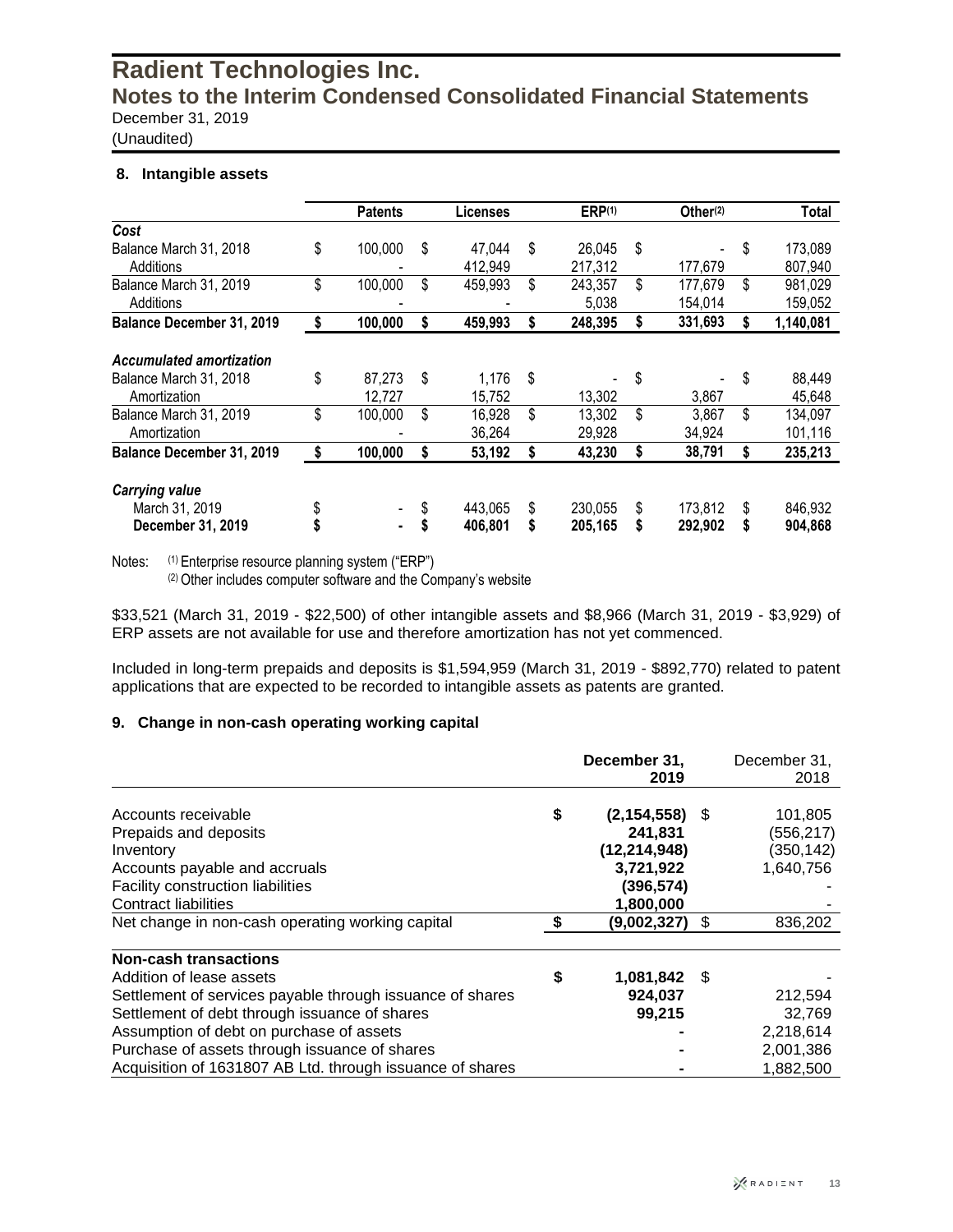(Unaudited)

#### **8. Intangible assets**

|                                 |    | <b>Patents</b> | <b>Licenses</b> | ERP <sup>(1)</sup> | Other <sup>(2)</sup>           | Total         |
|---------------------------------|----|----------------|-----------------|--------------------|--------------------------------|---------------|
| Cost                            |    |                |                 |                    |                                |               |
| Balance March 31, 2018          | \$ | 100,000        | \$<br>47,044    | \$<br>26,045       | \$<br>$\overline{\phantom{a}}$ | \$<br>173,089 |
| Additions                       |    |                | 412,949         | 217,312            | 177,679                        | 807,940       |
| Balance March 31, 2019          | \$ | 100,000        | \$<br>459,993   | \$<br>243,357      | \$<br>177,679                  | \$<br>981,029 |
| Additions                       |    |                |                 | 5,038              | 154,014                        | 159,052       |
| Balance December 31, 2019       | \$ | 100,000        | \$<br>459,993   | 248,395            | \$<br>331,693                  | 1,140,081     |
| <b>Accumulated amortization</b> |    |                |                 |                    |                                |               |
| Balance March 31, 2018          | \$ | 87,273         | \$<br>1,176     | \$                 | \$                             | \$<br>88,449  |
| Amortization                    |    | 12,727         | 15,752          | 13,302             | 3,867                          | 45,648        |
| Balance March 31, 2019          | \$ | 100,000        | \$<br>16,928    | \$<br>13,302       | \$<br>3,867                    | \$<br>134,097 |
| Amortization                    |    |                | 36,264          | 29,928             | 34,924                         | 101,116       |
| Balance December 31, 2019       | S  | 100,000        | \$<br>53,192    | 43,230             | \$<br>38,791                   | 235,213       |
| <b>Carrying value</b>           |    |                |                 |                    |                                |               |
| March 31, 2019                  |    |                | 443,065         | \$<br>230,055      | \$<br>173,812                  | \$<br>846,932 |
| December 31, 2019               |    | $\blacksquare$ | 406,801         | 205,165            | \$<br>292,902                  | 904,868       |

Notes: (1) Enterprise resource planning system ("ERP")

(2) Other includes computer software and the Company's website

\$33,521 (March 31, 2019 - \$22,500) of other intangible assets and \$8,966 (March 31, 2019 - \$3,929) of ERP assets are not available for use and therefore amortization has not yet commenced.

Included in long-term prepaids and deposits is \$1,594,959 (March 31, 2019 - \$892,770) related to patent applications that are expected to be recorded to intangible assets as patents are granted.

#### **9. Change in non-cash operating working capital**

|                                                           | December 31,<br>2019 |    | December 31,<br>2018 |
|-----------------------------------------------------------|----------------------|----|----------------------|
| Accounts receivable                                       | \$<br>(2, 154, 558)  | S  | 101,805              |
| Prepaids and deposits                                     | 241,831              |    | (556,217)            |
| Inventory                                                 | (12, 214, 948)       |    | (350, 142)           |
| Accounts payable and accruals                             | 3,721,922            |    | 1,640,756            |
| <b>Facility construction liabilities</b>                  | (396,574)            |    |                      |
| <b>Contract liabilities</b>                               | 1,800,000            |    |                      |
| Net change in non-cash operating working capital          | (9,002,327)          | \$ | 836,202              |
| <b>Non-cash transactions</b>                              |                      |    |                      |
| Addition of lease assets                                  | \$<br>1,081,842      | -S |                      |
| Settlement of services payable through issuance of shares | 924,037              |    | 212,594              |
| Settlement of debt through issuance of shares             | 99,215               |    | 32.769               |
| Assumption of debt on purchase of assets                  |                      |    | 2,218,614            |
| Purchase of assets through issuance of shares             |                      |    | 2,001,386            |
| Acquisition of 1631807 AB Ltd. through issuance of shares |                      |    | 1,882,500            |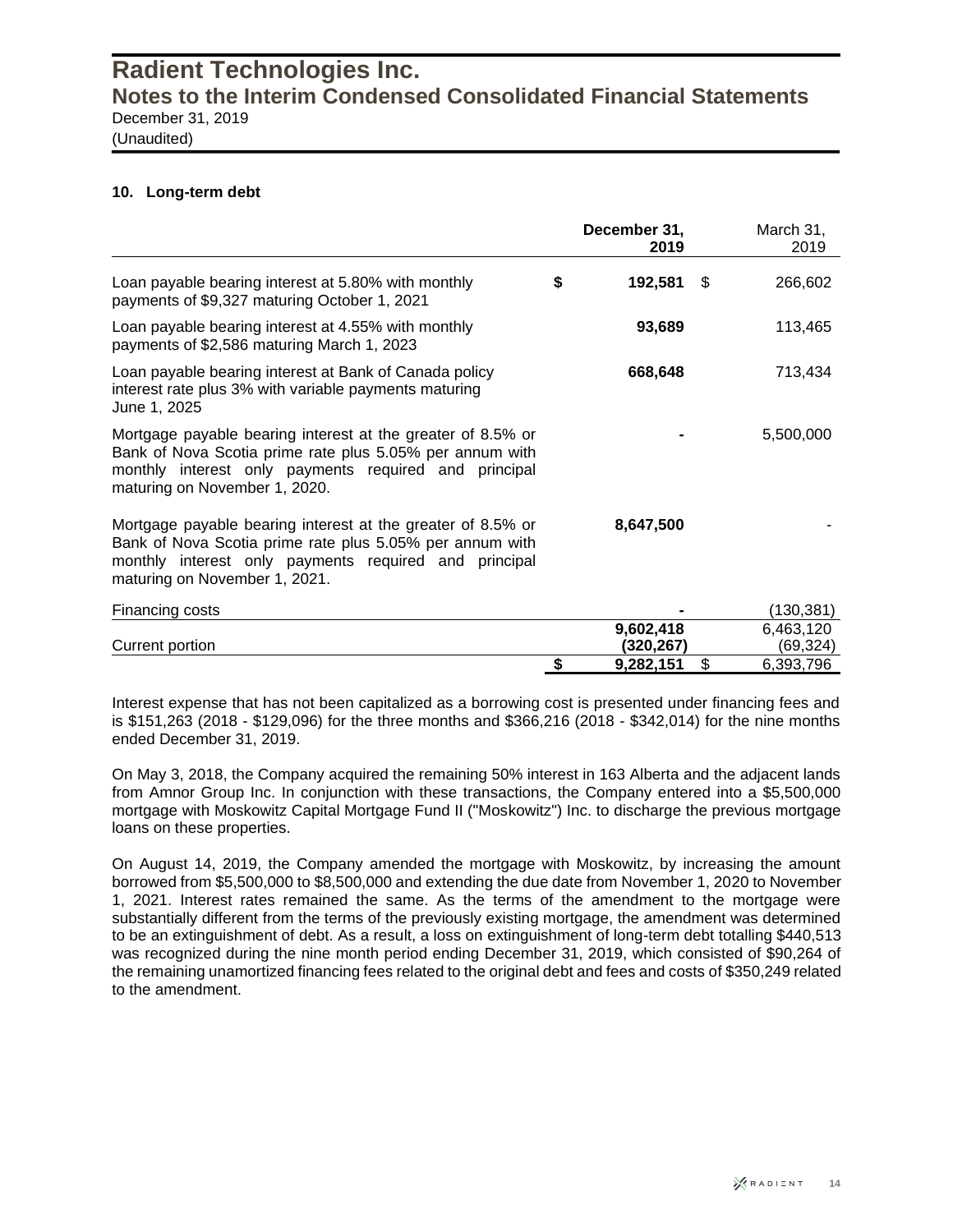(Unaudited)

#### **10. Long-term debt**

|                                                                                                                                                                                                                   | December 31,<br>2019 |     | March 31,<br>2019 |
|-------------------------------------------------------------------------------------------------------------------------------------------------------------------------------------------------------------------|----------------------|-----|-------------------|
| Loan payable bearing interest at 5.80% with monthly<br>payments of \$9,327 maturing October 1, 2021                                                                                                               | \$<br>192,581        | \$. | 266,602           |
| Loan payable bearing interest at 4.55% with monthly<br>payments of \$2,586 maturing March 1, 2023                                                                                                                 | 93,689               |     | 113,465           |
| Loan payable bearing interest at Bank of Canada policy<br>interest rate plus 3% with variable payments maturing<br>June 1, 2025                                                                                   | 668,648              |     | 713,434           |
| Mortgage payable bearing interest at the greater of 8.5% or<br>Bank of Nova Scotia prime rate plus 5.05% per annum with<br>monthly interest only payments required and principal<br>maturing on November 1, 2020. |                      |     | 5,500,000         |
| Mortgage payable bearing interest at the greater of 8.5% or<br>Bank of Nova Scotia prime rate plus 5.05% per annum with<br>monthly interest only payments required and principal<br>maturing on November 1, 2021. | 8,647,500            |     |                   |
| Financing costs                                                                                                                                                                                                   |                      |     | (130, 381)        |
|                                                                                                                                                                                                                   | 9,602,418            |     | 6,463,120         |
| Current portion                                                                                                                                                                                                   | (320,267)            |     | (69,324)          |
|                                                                                                                                                                                                                   | \$<br>9,282,151      | \$  | 6,393,796         |

Interest expense that has not been capitalized as a borrowing cost is presented under financing fees and is \$151,263 (2018 - \$129,096) for the three months and \$366,216 (2018 - \$342,014) for the nine months ended December 31, 2019.

On May 3, 2018, the Company acquired the remaining 50% interest in 163 Alberta and the adjacent lands from Amnor Group Inc. In conjunction with these transactions, the Company entered into a \$5,500,000 mortgage with Moskowitz Capital Mortgage Fund II ("Moskowitz") Inc. to discharge the previous mortgage loans on these properties.

On August 14, 2019, the Company amended the mortgage with Moskowitz, by increasing the amount borrowed from \$5,500,000 to \$8,500,000 and extending the due date from November 1, 2020 to November 1, 2021. Interest rates remained the same. As the terms of the amendment to the mortgage were substantially different from the terms of the previously existing mortgage, the amendment was determined to be an extinguishment of debt. As a result, a loss on extinguishment of long-term debt totalling \$440,513 was recognized during the nine month period ending December 31, 2019, which consisted of \$90,264 of the remaining unamortized financing fees related to the original debt and fees and costs of \$350,249 related to the amendment.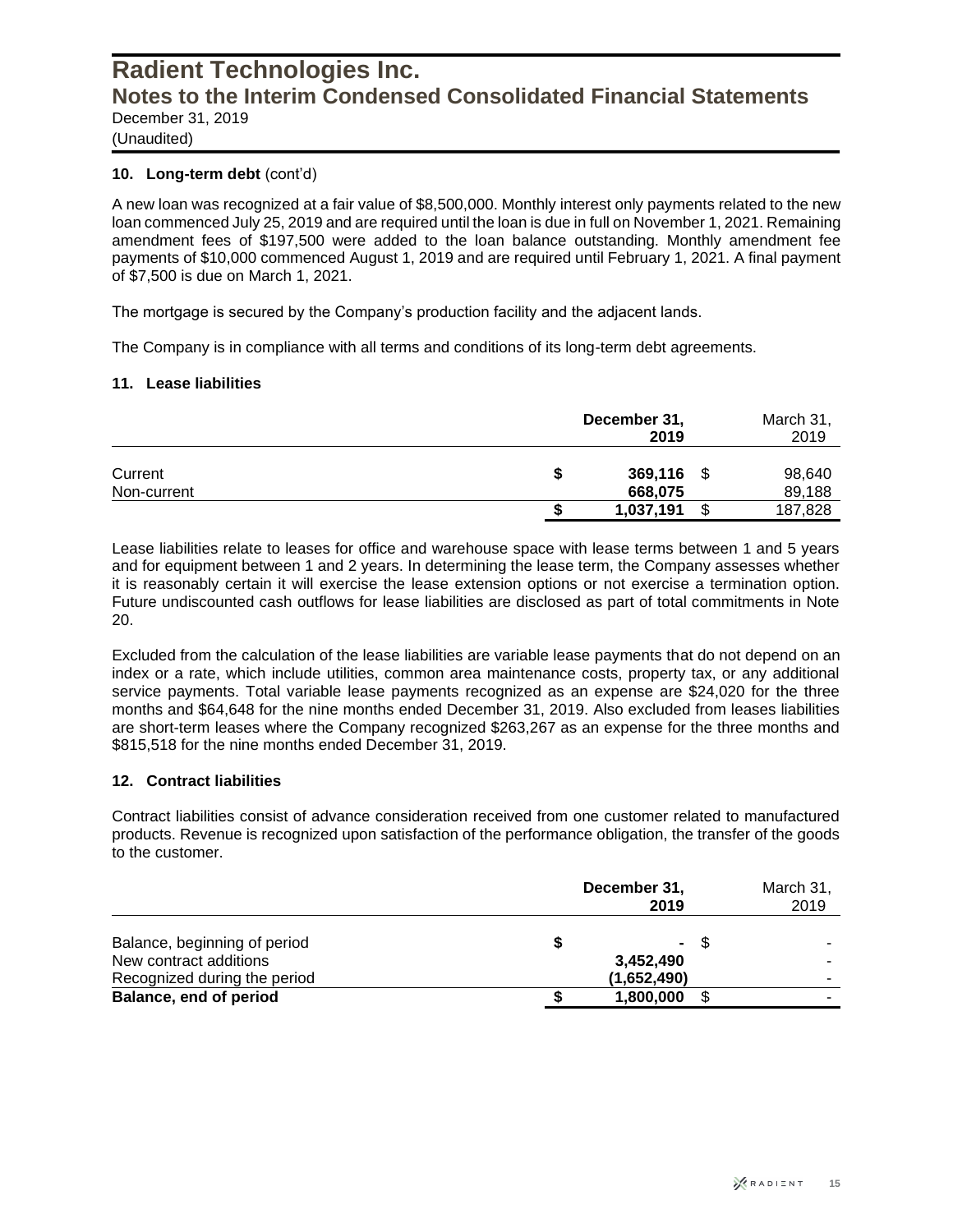(Unaudited)

#### **10. Long-term debt** (cont'd)

A new loan was recognized at a fair value of \$8,500,000. Monthly interest only payments related to the new loan commenced July 25, 2019 and are required until the loan is due in full on November 1, 2021. Remaining amendment fees of \$197,500 were added to the loan balance outstanding. Monthly amendment fee payments of \$10,000 commenced August 1, 2019 and are required until February 1, 2021. A final payment of \$7,500 is due on March 1, 2021.

The mortgage is secured by the Company's production facility and the adjacent lands.

The Company is in compliance with all terms and conditions of its long-term debt agreements.

#### **11. Lease liabilities**

|                        |   | December 31,<br>2019 | March 31,<br>2019 |                  |
|------------------------|---|----------------------|-------------------|------------------|
| Current<br>Non-current | S | 369,116<br>668,075   | \$                | 98,640<br>89,188 |
|                        |   | 1,037,191            | \$                | 187,828          |

Lease liabilities relate to leases for office and warehouse space with lease terms between 1 and 5 years and for equipment between 1 and 2 years. In determining the lease term, the Company assesses whether it is reasonably certain it will exercise the lease extension options or not exercise a termination option. Future undiscounted cash outflows for lease liabilities are disclosed as part of total commitments in Note 20.

Excluded from the calculation of the lease liabilities are variable lease payments that do not depend on an index or a rate, which include utilities, common area maintenance costs, property tax, or any additional service payments. Total variable lease payments recognized as an expense are \$24,020 for the three months and \$64,648 for the nine months ended December 31, 2019. Also excluded from leases liabilities are short-term leases where the Company recognized \$263,267 as an expense for the three months and \$815,518 for the nine months ended December 31, 2019.

#### **12. Contract liabilities**

Contract liabilities consist of advance consideration received from one customer related to manufactured products. Revenue is recognized upon satisfaction of the performance obligation, the transfer of the goods to the customer.

|                              | December 31, |                | March 31,<br>2019 |  |
|------------------------------|--------------|----------------|-------------------|--|
| Balance, beginning of period |              | $\blacksquare$ | -S                |  |
| New contract additions       |              | 3,452,490      |                   |  |
| Recognized during the period |              | (1,652,490)    |                   |  |
| Balance, end of period       |              | 1,800,000      |                   |  |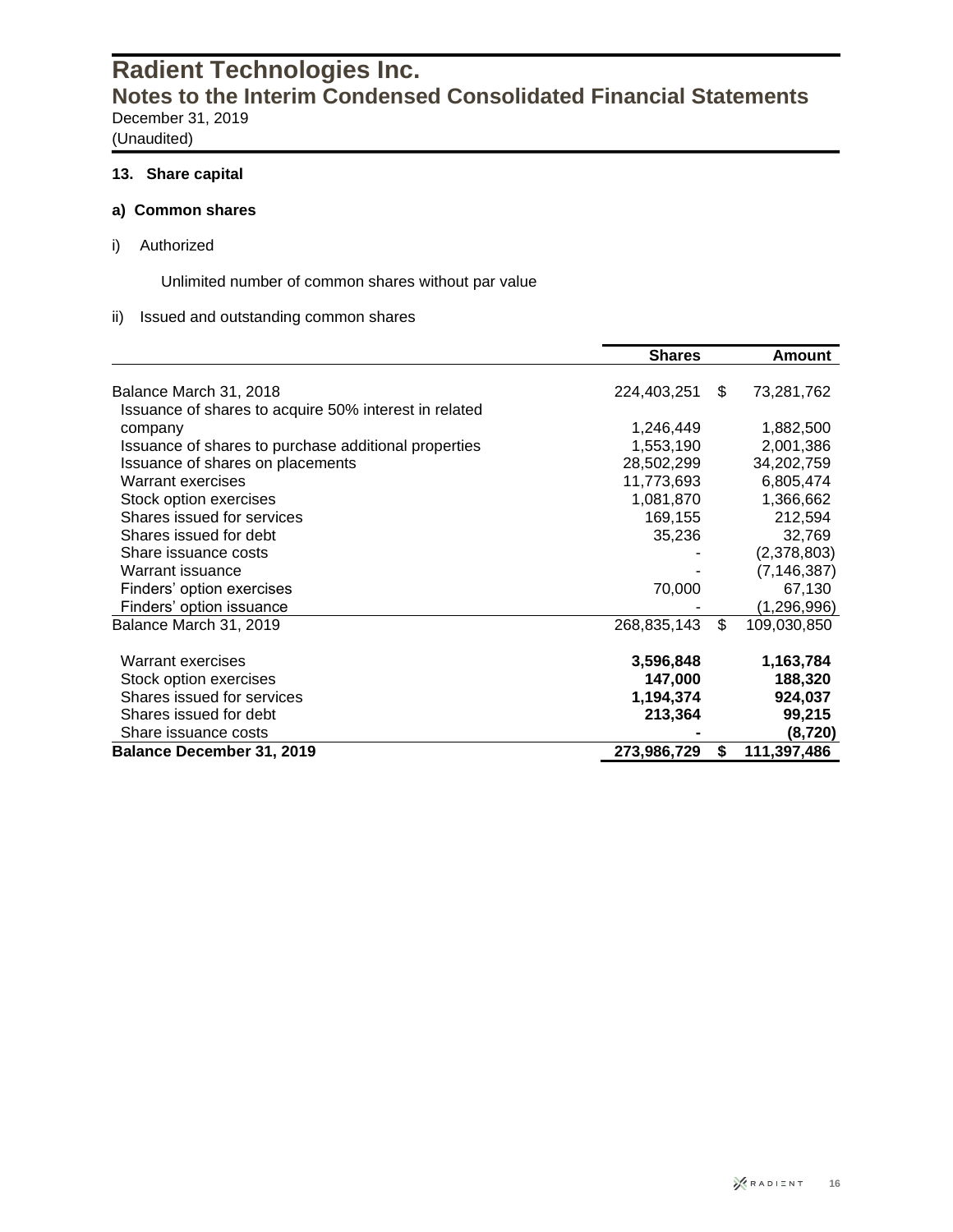(Unaudited)

### **13. Share capital**

#### **a) Common shares**

i) Authorized

Unlimited number of common shares without par value

#### ii) Issued and outstanding common shares

|                                                       | <b>Shares</b> | Amount            |
|-------------------------------------------------------|---------------|-------------------|
|                                                       |               |                   |
| Balance March 31, 2018                                | 224,403,251   | \$<br>73,281,762  |
| Issuance of shares to acquire 50% interest in related |               |                   |
| company                                               | 1,246,449     | 1,882,500         |
| Issuance of shares to purchase additional properties  | 1,553,190     | 2,001,386         |
| Issuance of shares on placements                      | 28,502,299    | 34,202,759        |
| Warrant exercises                                     | 11,773,693    | 6,805,474         |
| Stock option exercises                                | 1,081,870     | 1,366,662         |
| Shares issued for services                            | 169,155       | 212,594           |
| Shares issued for debt                                | 35,236        | 32,769            |
| Share issuance costs                                  |               | (2,378,803)       |
| Warrant issuance                                      |               | (7, 146, 387)     |
| Finders' option exercises                             | 70,000        | 67,130            |
| Finders' option issuance                              |               | (1,296,996)       |
| Balance March 31, 2019                                | 268,835,143   | \$<br>109,030,850 |
| Warrant exercises                                     | 3,596,848     | 1,163,784         |
| Stock option exercises                                | 147,000       | 188,320           |
| Shares issued for services                            | 1,194,374     | 924,037           |
| Shares issued for debt                                | 213,364       | 99,215            |
| Share issuance costs                                  |               | (8,720)           |
| <b>Balance December 31, 2019</b>                      | 273,986,729   | \$<br>111,397,486 |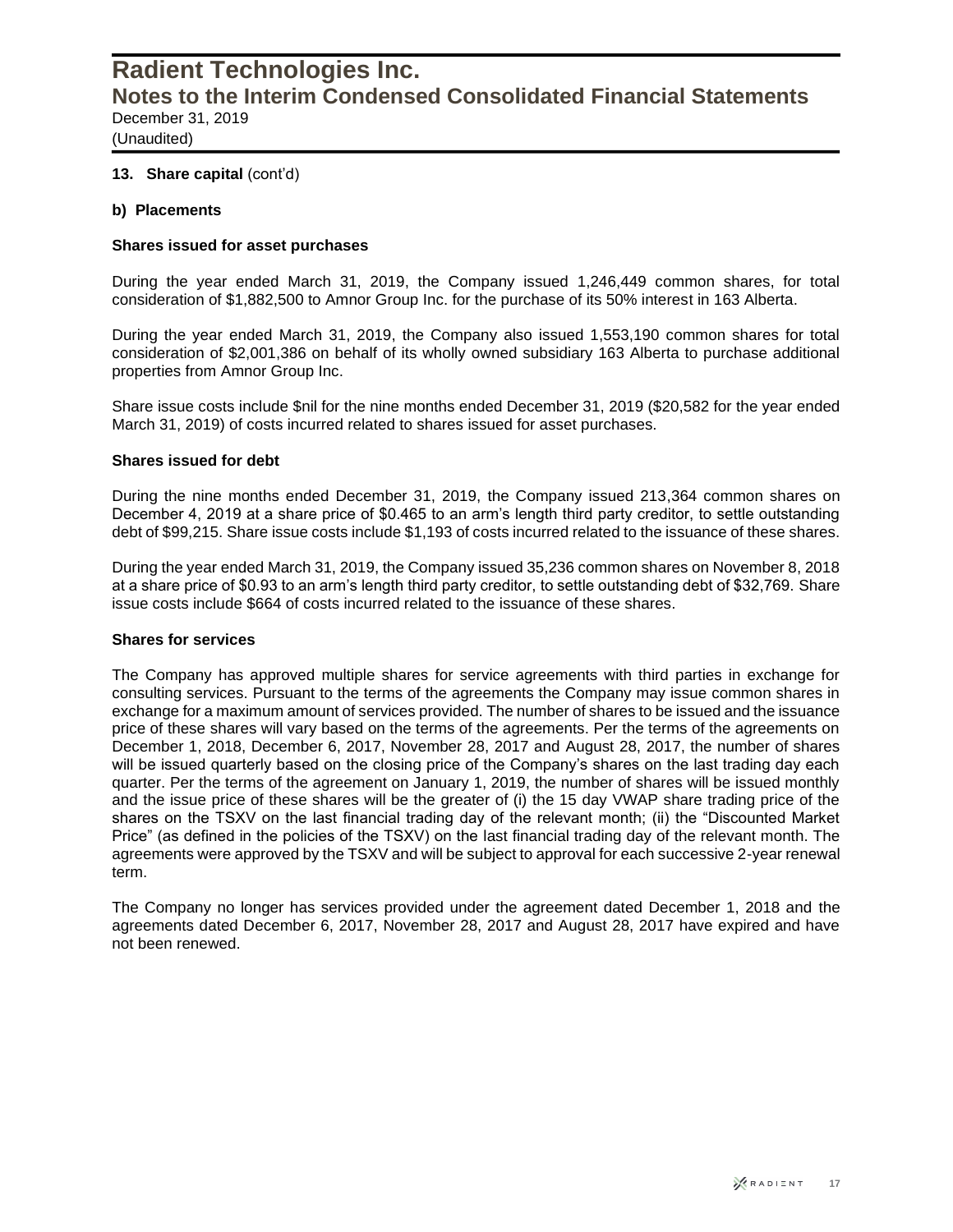(Unaudited)

#### **13. Share capital** (cont'd)

#### **b) Placements**

#### **Shares issued for asset purchases**

During the year ended March 31, 2019, the Company issued 1,246,449 common shares, for total consideration of \$1,882,500 to Amnor Group Inc. for the purchase of its 50% interest in 163 Alberta.

During the year ended March 31, 2019, the Company also issued 1,553,190 common shares for total consideration of \$2,001,386 on behalf of its wholly owned subsidiary 163 Alberta to purchase additional properties from Amnor Group Inc.

Share issue costs include \$nil for the nine months ended December 31, 2019 (\$20,582 for the year ended March 31, 2019) of costs incurred related to shares issued for asset purchases.

#### **Shares issued for debt**

During the nine months ended December 31, 2019, the Company issued 213,364 common shares on December 4, 2019 at a share price of \$0.465 to an arm's length third party creditor, to settle outstanding debt of \$99,215. Share issue costs include \$1,193 of costs incurred related to the issuance of these shares.

During the year ended March 31, 2019, the Company issued 35,236 common shares on November 8, 2018 at a share price of \$0.93 to an arm's length third party creditor, to settle outstanding debt of \$32,769. Share issue costs include \$664 of costs incurred related to the issuance of these shares.

#### **Shares for services**

The Company has approved multiple shares for service agreements with third parties in exchange for consulting services. Pursuant to the terms of the agreements the Company may issue common shares in exchange for a maximum amount of services provided. The number of shares to be issued and the issuance price of these shares will vary based on the terms of the agreements. Per the terms of the agreements on December 1, 2018, December 6, 2017, November 28, 2017 and August 28, 2017, the number of shares will be issued quarterly based on the closing price of the Company's shares on the last trading day each quarter. Per the terms of the agreement on January 1, 2019, the number of shares will be issued monthly and the issue price of these shares will be the greater of (i) the 15 day VWAP share trading price of the shares on the TSXV on the last financial trading day of the relevant month; (ii) the "Discounted Market Price" (as defined in the policies of the TSXV) on the last financial trading day of the relevant month. The agreements were approved by the TSXV and will be subject to approval for each successive 2-year renewal term.

The Company no longer has services provided under the agreement dated December 1, 2018 and the agreements dated December 6, 2017, November 28, 2017 and August 28, 2017 have expired and have not been renewed.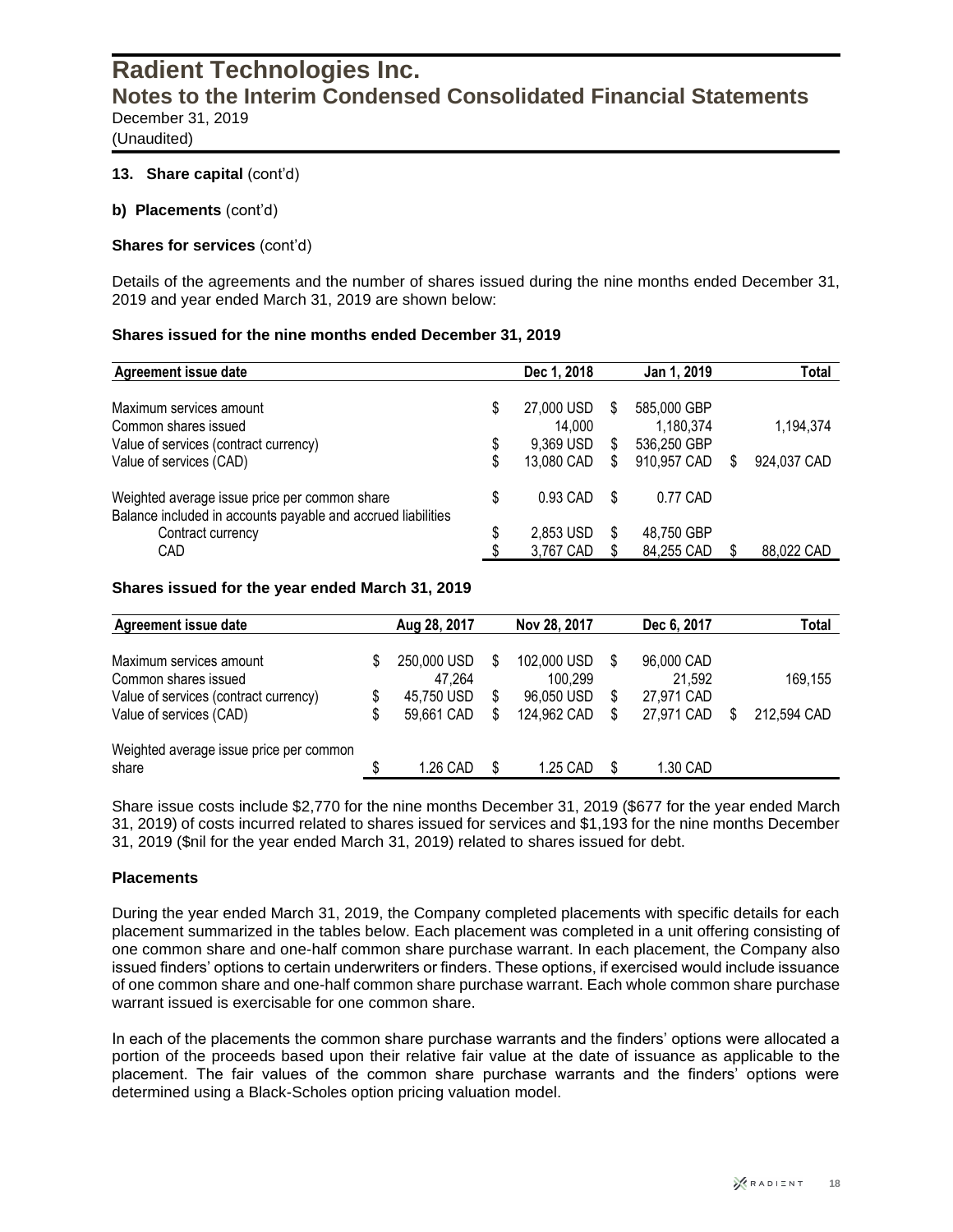(Unaudited)

#### **13. Share capital** (cont'd)

**b) Placements** (cont'd)

#### **Shares for services** (cont'd)

Details of the agreements and the number of shares issued during the nine months ended December 31, 2019 and year ended March 31, 2019 are shown below:

#### **Shares issued for the nine months ended December 31, 2019**

| <b>Agreement issue date</b>                                  |    | Dec 1, 2018 |   | Jan 1, 2019 |   | Total       |
|--------------------------------------------------------------|----|-------------|---|-------------|---|-------------|
|                                                              |    |             |   |             |   |             |
| Maximum services amount                                      | S  | 27,000 USD  | S | 585,000 GBP |   |             |
| Common shares issued                                         |    | 14,000      |   | 1,180,374   |   | 1,194,374   |
| Value of services (contract currency)                        | S  | 9,369 USD   | S | 536,250 GBP |   |             |
| Value of services (CAD)                                      |    | 13,080 CAD  | S | 910,957 CAD | S | 924,037 CAD |
| Weighted average issue price per common share                | \$ | 0.93 CAD    | S | 0.77 CAD    |   |             |
| Balance included in accounts payable and accrued liabilities |    |             |   |             |   |             |
| Contract currency                                            | \$ | 2,853 USD   | S | 48,750 GBP  |   |             |
| CAD                                                          |    | 3,767 CAD   |   | 84,255 CAD  |   | 88,022 CAD  |

#### **Shares issued for the year ended March 31, 2019**

| Agreement issue date                    |   | Aug 28, 2017 |   | Nov 28, 2017 |   | Dec 6, 2017 | Total       |
|-----------------------------------------|---|--------------|---|--------------|---|-------------|-------------|
| Maximum services amount                 | S | 250,000 USD  |   | 102,000 USD  |   | 96,000 CAD  |             |
| Common shares issued                    |   | 47,264       |   | 100,299      |   | 21,592      | 169,155     |
| Value of services (contract currency)   |   | 45,750 USD   | S | 96,050 USD   |   | 27,971 CAD  |             |
| Value of services (CAD)                 |   | 59,661 CAD   | S | 124,962 CAD  | S | 27,971 CAD  | 212,594 CAD |
| Weighted average issue price per common |   |              |   |              |   |             |             |
| share                                   |   | 1.26 CAD     | S | 1.25 CAD     | S | 1.30 CAD    |             |

Share issue costs include \$2,770 for the nine months December 31, 2019 (\$677 for the year ended March 31, 2019) of costs incurred related to shares issued for services and \$1,193 for the nine months December 31, 2019 (\$nil for the year ended March 31, 2019) related to shares issued for debt.

#### **Placements**

During the year ended March 31, 2019, the Company completed placements with specific details for each placement summarized in the tables below. Each placement was completed in a unit offering consisting of one common share and one-half common share purchase warrant. In each placement, the Company also issued finders' options to certain underwriters or finders. These options, if exercised would include issuance of one common share and one-half common share purchase warrant. Each whole common share purchase warrant issued is exercisable for one common share.

In each of the placements the common share purchase warrants and the finders' options were allocated a portion of the proceeds based upon their relative fair value at the date of issuance as applicable to the placement. The fair values of the common share purchase warrants and the finders' options were determined using a Black-Scholes option pricing valuation model.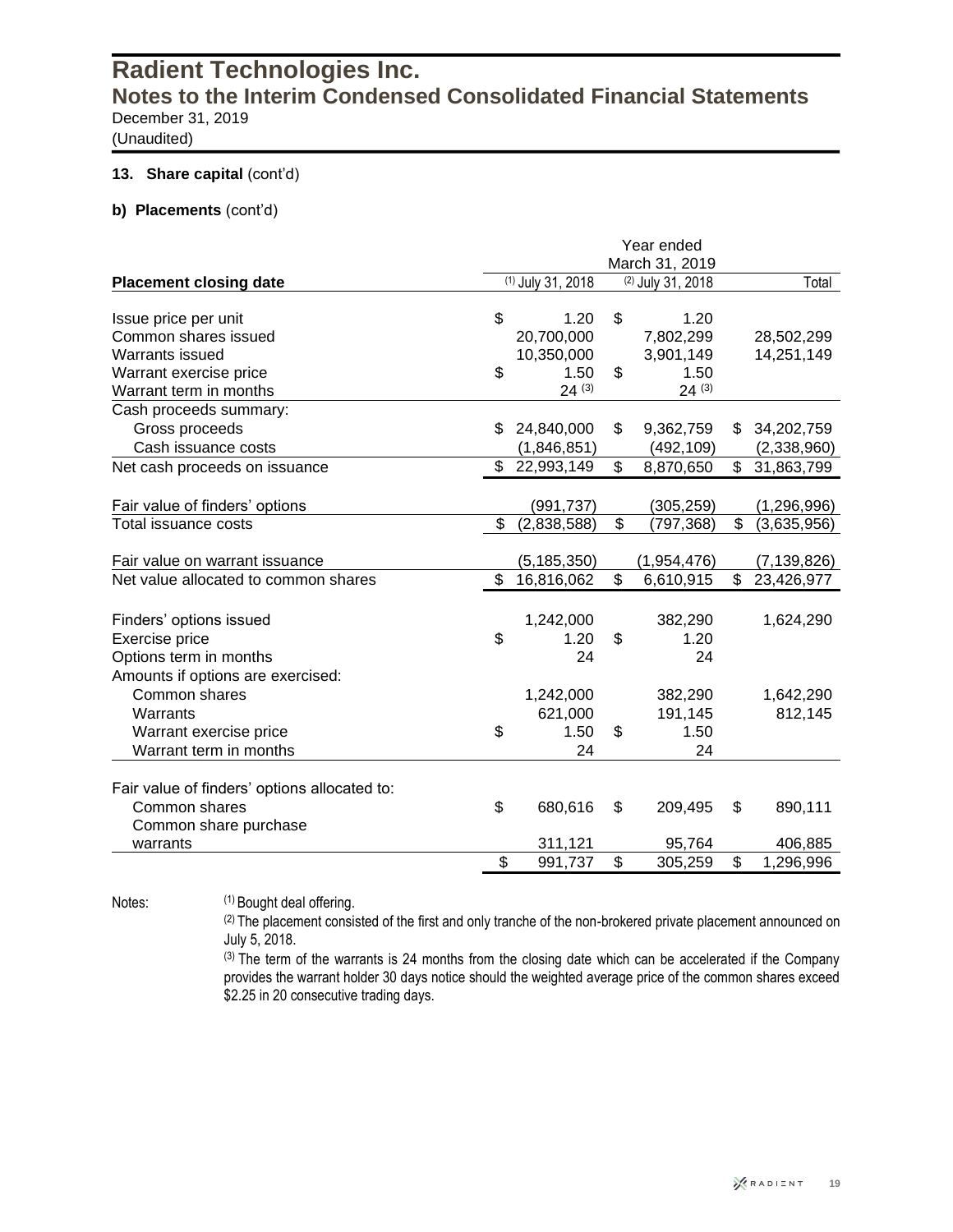(Unaudited)

#### **13. Share capital (cont'd)**

#### **b) Placements** (cont'd)

|                                              | Year ended<br>March 31, 2019 |                   |    |                   |               |               |
|----------------------------------------------|------------------------------|-------------------|----|-------------------|---------------|---------------|
| <b>Placement closing date</b>                |                              | (1) July 31, 2018 |    | (2) July 31, 2018 |               | Total         |
|                                              |                              |                   |    |                   |               |               |
| Issue price per unit                         | \$                           | 1.20              | \$ | 1.20              |               |               |
| Common shares issued                         |                              | 20,700,000        |    | 7,802,299         |               | 28,502,299    |
| Warrants issued                              |                              | 10,350,000        |    | 3,901,149         |               | 14,251,149    |
| Warrant exercise price                       | \$                           | 1.50              | \$ | 1.50              |               |               |
| Warrant term in months                       |                              | 24(3)             |    | 24(3)             |               |               |
| Cash proceeds summary:                       |                              |                   |    |                   |               |               |
| Gross proceeds                               | \$                           | 24,840,000        | \$ | 9,362,759         | \$            | 34,202,759    |
| Cash issuance costs                          |                              | (1,846,851)       |    | (492, 109)        |               | (2,338,960)   |
| Net cash proceeds on issuance                |                              | \$22,993,149      | \$ | 8,870,650         | $\mathsf{\$}$ | 31,863,799    |
| Fair value of finders' options               |                              | (991, 737)        |    | (305, 259)        |               | (1, 296, 996) |
| Total issuance costs                         | \$                           | (2,838,588)       | \$ | (797, 368)        | \$            | (3,635,956)   |
|                                              |                              |                   |    |                   |               |               |
| Fair value on warrant issuance               |                              | (5, 185, 350)     |    | (1,954,476)       |               | (7, 139, 826) |
| Net value allocated to common shares         | \$                           | 16,816,062        | \$ | 6,610,915         | \$            | 23,426,977    |
|                                              |                              |                   |    |                   |               |               |
| Finders' options issued                      |                              | 1,242,000         |    | 382,290           |               | 1,624,290     |
| Exercise price                               | \$                           | 1.20              | \$ | 1.20              |               |               |
| Options term in months                       |                              | 24                |    | 24                |               |               |
| Amounts if options are exercised:            |                              |                   |    |                   |               |               |
| Common shares                                |                              | 1,242,000         |    | 382,290           |               | 1,642,290     |
| Warrants                                     |                              | 621,000           |    | 191,145           |               | 812,145       |
| Warrant exercise price                       | \$                           | 1.50              | \$ | 1.50              |               |               |
| Warrant term in months                       |                              | 24                |    | 24                |               |               |
|                                              |                              |                   |    |                   |               |               |
| Fair value of finders' options allocated to: |                              |                   |    |                   |               |               |
| Common shares                                | \$                           | 680,616           | \$ | 209,495           | \$            | 890,111       |
| Common share purchase                        |                              |                   |    |                   |               |               |
| warrants                                     |                              | 311,121           |    | 95,764            |               | 406,885       |
|                                              | \$                           | 991,737           | \$ | 305,259           | \$            | 1,296,996     |

Notes: (1) Bought deal offering.

(2) The placement consisted of the first and only tranche of the non-brokered private placement announced on July 5, 2018.

(3) The term of the warrants is 24 months from the closing date which can be accelerated if the Company provides the warrant holder 30 days notice should the weighted average price of the common shares exceed \$2.25 in 20 consecutive trading days.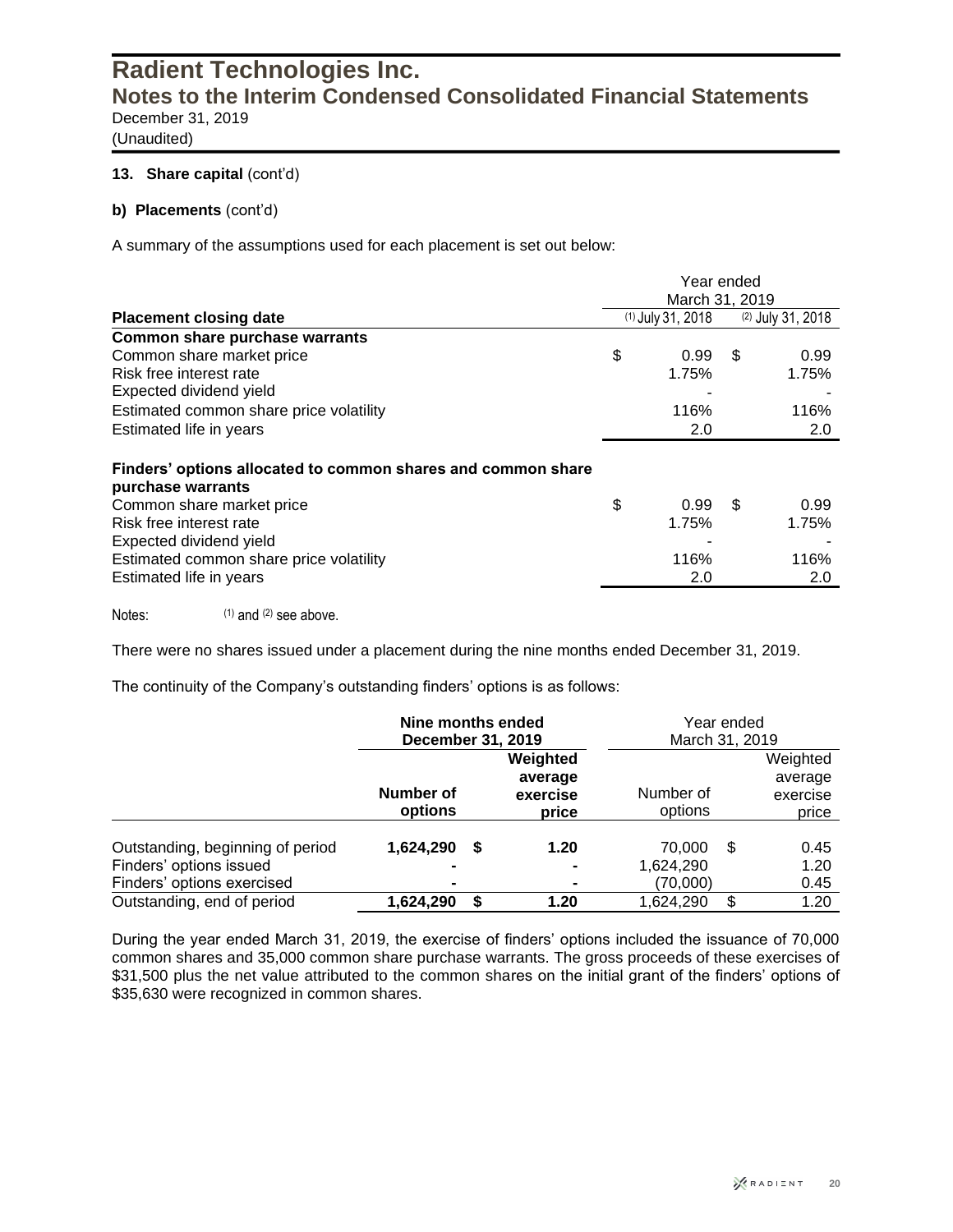(Unaudited)

#### 13. Share capital (cont'd)

#### **b) Placements** (cont'd)

A summary of the assumptions used for each placement is set out below:

|                                                                                   | Year ended<br>March 31, 2019 |                     |    |                     |  |
|-----------------------------------------------------------------------------------|------------------------------|---------------------|----|---------------------|--|
| <b>Placement closing date</b>                                                     |                              | $(1)$ July 31, 2018 |    | $(2)$ July 31, 2018 |  |
| <b>Common share purchase warrants</b>                                             |                              |                     |    |                     |  |
| Common share market price                                                         | \$                           | 0.99                | \$ | 0.99                |  |
| Risk free interest rate                                                           |                              | 1.75%               |    | 1.75%               |  |
| Expected dividend yield                                                           |                              |                     |    |                     |  |
| Estimated common share price volatility                                           |                              | 116%                |    | 116%                |  |
| Estimated life in years                                                           |                              | 2.0                 |    | 2.0                 |  |
| Finders' options allocated to common shares and common share<br>purchase warrants |                              |                     |    |                     |  |
| Common share market price                                                         | \$                           | 0.99                | \$ | 0.99                |  |
| Risk free interest rate                                                           |                              | 1.75%               |    | 1.75%               |  |
| Expected dividend yield                                                           |                              |                     |    |                     |  |
| Estimated common share price volatility                                           |                              | 116%                |    | 116%                |  |
| Estimated life in years                                                           |                              | 2.0                 |    | 2.0                 |  |
|                                                                                   |                              |                     |    |                     |  |

Notes: (1) and (2) see above.

There were no shares issued under a placement during the nine months ended December 31, 2019.

The continuity of the Company's outstanding finders' options is as follows:

|                                                                                           | Nine months ended<br>December 31, 2019 |    |                                          | Year ended<br>March 31, 2019    |    |                                          |  |
|-------------------------------------------------------------------------------------------|----------------------------------------|----|------------------------------------------|---------------------------------|----|------------------------------------------|--|
|                                                                                           | Number of<br>options                   |    | Weighted<br>average<br>exercise<br>price | Number of<br>options            |    | Weighted<br>average<br>exercise<br>price |  |
| Outstanding, beginning of period<br>Finders' options issued<br>Finders' options exercised | 1,624,290                              | S. | 1.20<br>$\blacksquare$<br>$\blacksquare$ | 70,000<br>1,624,290<br>(70,000) | -S | 0.45<br>1.20<br>0.45                     |  |
| Outstanding, end of period                                                                | 1,624,290                              | S  | 1.20                                     | 1,624,290                       | \$ | 1.20                                     |  |

During the year ended March 31, 2019, the exercise of finders' options included the issuance of 70,000 common shares and 35,000 common share purchase warrants. The gross proceeds of these exercises of \$31,500 plus the net value attributed to the common shares on the initial grant of the finders' options of \$35,630 were recognized in common shares.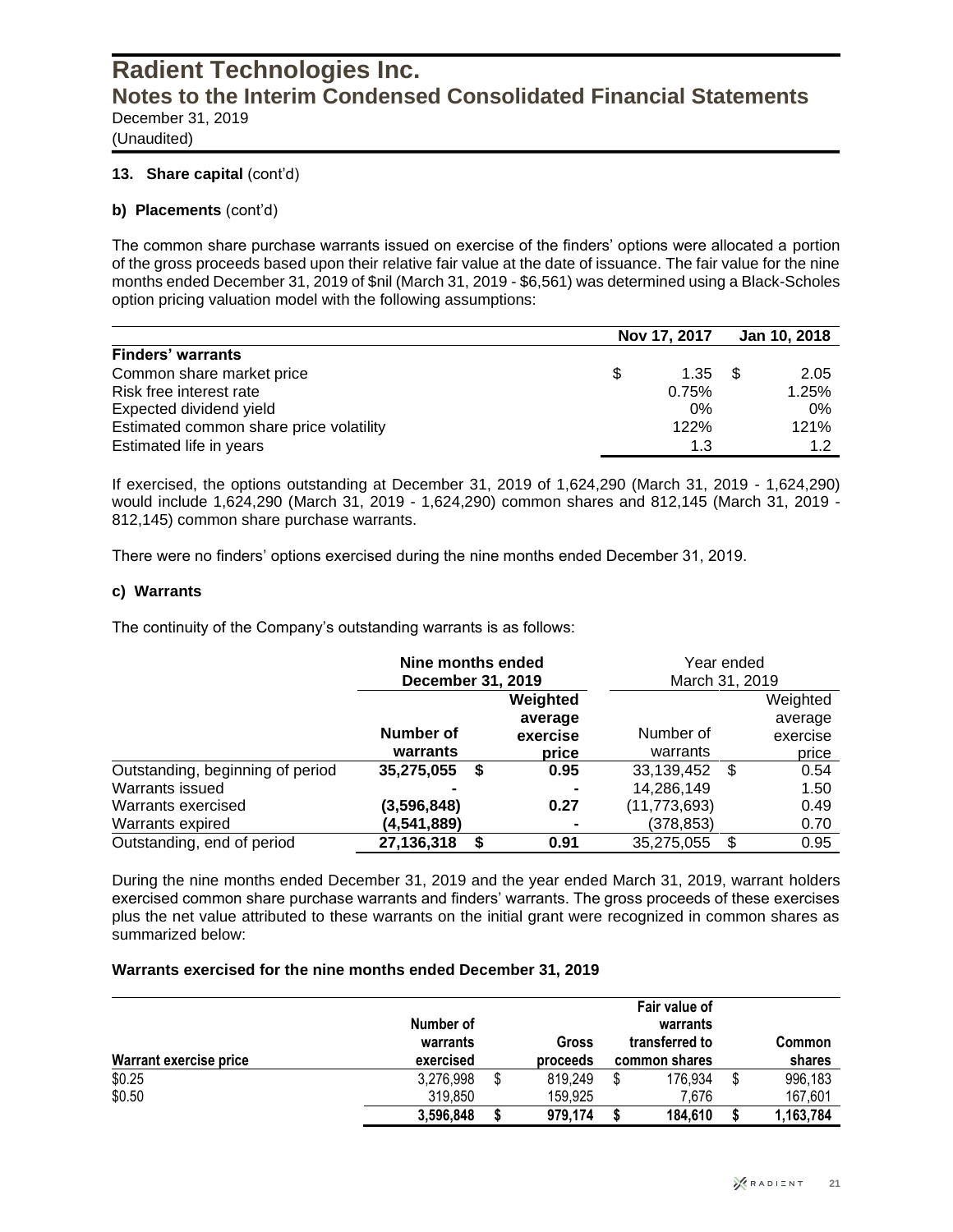(Unaudited)

#### **13. Share capital** (cont'd)

#### **b) Placements** (cont'd)

The common share purchase warrants issued on exercise of the finders' options were allocated a portion of the gross proceeds based upon their relative fair value at the date of issuance. The fair value for the nine months ended December 31, 2019 of \$nil (March 31, 2019 - \$6,561) was determined using a Black-Scholes option pricing valuation model with the following assumptions:

|                                         |     | Nov 17, 2017 | Jan 10, 2018 |
|-----------------------------------------|-----|--------------|--------------|
| <b>Finders' warrants</b>                |     |              |              |
| Common share market price               | \$. | 1.35         | 2.05         |
| Risk free interest rate                 |     | 0.75%        | 1.25%        |
| Expected dividend yield                 |     | 0%           | 0%           |
| Estimated common share price volatility |     | 122%         | 121%         |
| Estimated life in years                 |     | 1.3          | 1.2          |

If exercised, the options outstanding at December 31, 2019 of 1,624,290 (March 31, 2019 - 1,624,290) would include 1,624,290 (March 31, 2019 - 1,624,290) common shares and 812,145 (March 31, 2019 - 812,145) common share purchase warrants.

There were no finders' options exercised during the nine months ended December 31, 2019.

#### **c) Warrants**

The continuity of the Company's outstanding warrants is as follows:

|                                  | Nine months ended<br>December 31, 2019 |          | Year ended<br>March 31, 2019 |            |
|----------------------------------|----------------------------------------|----------|------------------------------|------------|
|                                  |                                        | Weighted |                              | Weighted   |
|                                  |                                        | average  |                              | average    |
|                                  | <b>Number of</b>                       | exercise | Number of                    | exercise   |
|                                  | warrants                               | price    | warrants                     | price      |
| Outstanding, beginning of period | 35,275,055<br>S                        | 0.95     | 33,139,452                   | 0.54<br>-S |
| Warrants issued                  |                                        |          | 14,286,149                   | 1.50       |
| Warrants exercised               | (3,596,848)                            | 0.27     | (11, 773, 693)               | 0.49       |
| Warrants expired                 | (4,541,889)                            |          | (378, 853)                   | 0.70       |
| Outstanding, end of period       | 27,136,318<br>S                        | 0.91     | 35,275,055                   | 0.95<br>S  |

During the nine months ended December 31, 2019 and the year ended March 31, 2019, warrant holders exercised common share purchase warrants and finders' warrants. The gross proceeds of these exercises plus the net value attributed to these warrants on the initial grant were recognized in common shares as summarized below:

#### **Warrants exercised for the nine months ended December 31, 2019**

| Warrant exercise price | Number of<br>warrants<br>exercised |   | <b>Gross</b><br>proceeds | Fair value of<br>warrants<br>transferred to<br>common shares |         |   | <b>Common</b><br>shares |
|------------------------|------------------------------------|---|--------------------------|--------------------------------------------------------------|---------|---|-------------------------|
| \$0.25                 | 3,276,998                          | S | 819.249                  |                                                              | 176.934 | S | 996,183                 |
| \$0.50                 | 319,850                            |   | 159,925                  |                                                              | 7.676   |   | 167,601                 |
|                        | 3,596,848                          |   | 979.174                  |                                                              | 184.610 |   | 1,163,784               |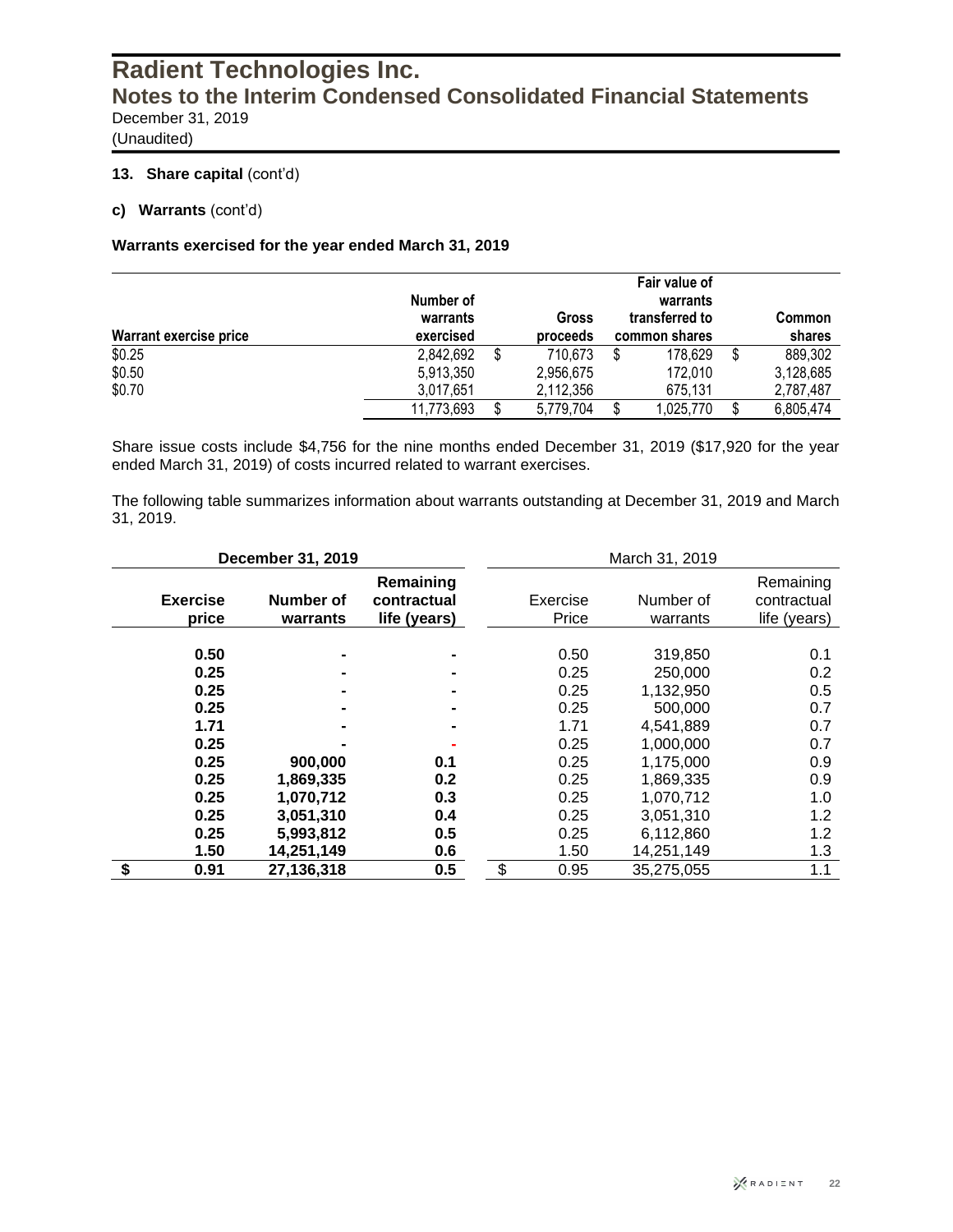(Unaudited)

#### **13. Share capital (cont'd)**

**c) Warrants** (cont'd)

#### **Warrants exercised for the year ended March 31, 2019**

| Warrant exercise price | Number of<br>warrants | exercised |           |    | Fair value of<br>warrants<br>transferred to<br>Gross<br>proceeds<br>common shares |   |                   |  |
|------------------------|-----------------------|-----------|-----------|----|-----------------------------------------------------------------------------------|---|-------------------|--|
| \$0.25                 | 2,842,692             |           | 710,673   | \$ | 178,629                                                                           | S | shares<br>889,302 |  |
| \$0.50                 | 5,913,350             |           | 2,956,675 |    | 172.010                                                                           |   | 3,128,685         |  |
| \$0.70                 | 3.017.651             |           | 2,112,356 |    | 675,131                                                                           |   | 2,787,487         |  |
|                        | 11,773,693            |           | 5,779,704 |    | 1,025,770                                                                         |   | 6,805,474         |  |

Share issue costs include \$4,756 for the nine months ended December 31, 2019 (\$17,920 for the year ended March 31, 2019) of costs incurred related to warrant exercises.

The following table summarizes information about warrants outstanding at December 31, 2019 and March 31, 2019.

|                 |                                                                                      | December 31, 2019                                           |                                          |                                                                                      | March 31, 2019                                                                                                                        |                                                                           |
|-----------------|--------------------------------------------------------------------------------------|-------------------------------------------------------------|------------------------------------------|--------------------------------------------------------------------------------------|---------------------------------------------------------------------------------------------------------------------------------------|---------------------------------------------------------------------------|
| <b>Exercise</b> | price                                                                                | Number of<br>warrants                                       | Remaining<br>contractual<br>life (years) | Exercise<br>Price                                                                    | Number of<br>warrants                                                                                                                 | Remaining<br>contractual<br>life (years)                                  |
|                 | 0.50<br>0.25<br>0.25<br>0.25<br>1.71<br>0.25<br>0.25<br>0.25<br>0.25<br>0.25<br>0.25 | 900,000<br>1,869,335<br>1,070,712<br>3,051,310<br>5,993,812 | 0.1<br>0.2<br>0.3<br>0.4<br>0.5          | 0.50<br>0.25<br>0.25<br>0.25<br>1.71<br>0.25<br>0.25<br>0.25<br>0.25<br>0.25<br>0.25 | 319,850<br>250,000<br>1,132,950<br>500,000<br>4,541,889<br>1,000,000<br>1,175,000<br>1,869,335<br>1,070,712<br>3,051,310<br>6,112,860 | 0.1<br>0.2<br>0.5<br>0.7<br>0.7<br>0.7<br>0.9<br>0.9<br>1.0<br>1.2<br>1.2 |
| \$              | 1.50<br>0.91                                                                         | 14,251,149<br>27,136,318                                    | 0.6<br>0.5                               | \$<br>1.50<br>0.95                                                                   | 14,251,149<br>35,275,055                                                                                                              | 1.3<br>1.1                                                                |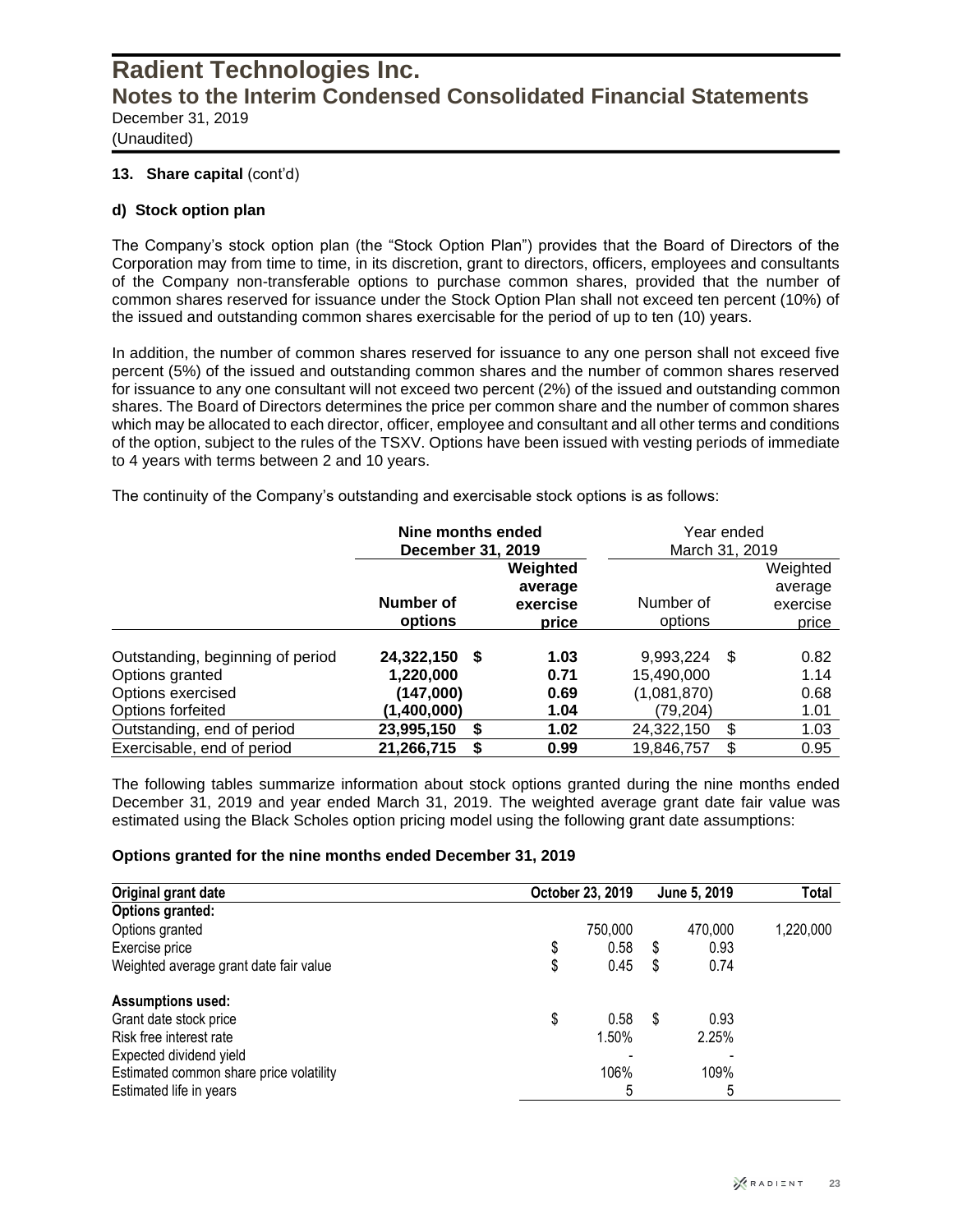(Unaudited)

#### **13. Share capital** (cont'd)

#### **d) Stock option plan**

The Company's stock option plan (the "Stock Option Plan") provides that the Board of Directors of the Corporation may from time to time, in its discretion, grant to directors, officers, employees and consultants of the Company non-transferable options to purchase common shares, provided that the number of common shares reserved for issuance under the Stock Option Plan shall not exceed ten percent (10%) of the issued and outstanding common shares exercisable for the period of up to ten (10) years.

In addition, the number of common shares reserved for issuance to any one person shall not exceed five percent (5%) of the issued and outstanding common shares and the number of common shares reserved for issuance to any one consultant will not exceed two percent (2%) of the issued and outstanding common shares. The Board of Directors determines the price per common share and the number of common shares which may be allocated to each director, officer, employee and consultant and all other terms and conditions of the option, subject to the rules of the TSXV. Options have been issued with vesting periods of immediate to 4 years with terms between 2 and 10 years.

The continuity of the Company's outstanding and exercisable stock options is as follows:

|                                                                          | Nine months ended<br>December 31, 2019     |                                          | Year ended<br>March 31, 2019           |      |                                          |  |  |
|--------------------------------------------------------------------------|--------------------------------------------|------------------------------------------|----------------------------------------|------|------------------------------------------|--|--|
|                                                                          | Number of<br>options                       | Weighted<br>average<br>exercise<br>price | Number of<br>options                   |      | Weighted<br>average<br>exercise<br>price |  |  |
| Outstanding, beginning of period<br>Options granted<br>Options exercised | 24,322,150<br>S.<br>1,220,000<br>(147,000) | 1.03<br>0.71<br>0.69                     | 9,993,224<br>15,490,000<br>(1,081,870) | - \$ | 0.82<br>1.14<br>0.68                     |  |  |
| Options forfeited                                                        | (1,400,000)                                | 1.04                                     | (79,204)                               |      | 1.01                                     |  |  |
| Outstanding, end of period                                               | 23,995,150<br>S                            | 1.02                                     | 24,322,150                             | \$   | 1.03                                     |  |  |
| Exercisable, end of period                                               | 21,266,715<br>S                            | 0.99                                     | 19,846,757                             | \$   | 0.95                                     |  |  |

The following tables summarize information about stock options granted during the nine months ended December 31, 2019 and year ended March 31, 2019. The weighted average grant date fair value was estimated using the Black Scholes option pricing model using the following grant date assumptions:

#### **Options granted for the nine months ended December 31, 2019**

| Original grant date                     | October 23, 2019 | June 5, 2019 | Total     |
|-----------------------------------------|------------------|--------------|-----------|
| <b>Options granted:</b>                 |                  |              |           |
| Options granted                         | 750.000          | 470,000      | 1,220,000 |
| Exercise price                          | 0.58<br>\$       | \$<br>0.93   |           |
| Weighted average grant date fair value  | 0.45<br>\$       | \$<br>0.74   |           |
| <b>Assumptions used:</b>                |                  |              |           |
| Grant date stock price                  | \$<br>0.58       | \$<br>0.93   |           |
| Risk free interest rate                 | 1.50%            | 2.25%        |           |
| Expected dividend yield                 |                  |              |           |
| Estimated common share price volatility | 106%             | 109%         |           |
| Estimated life in years                 | 5                | ა            |           |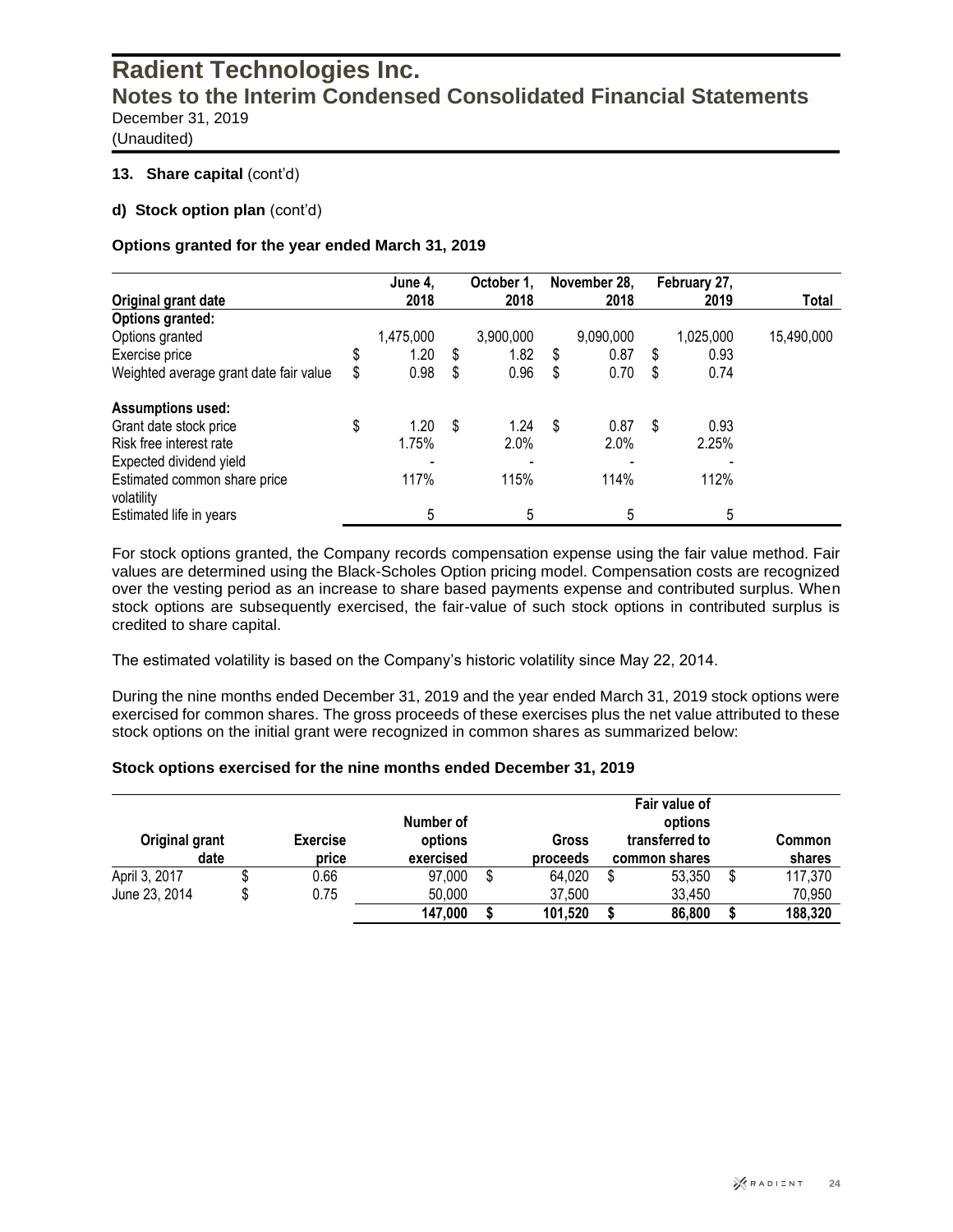(Unaudited)

#### **13. Share capital** (cont'd)

#### **d) Stock option plan** (cont'd)

#### **Options granted for the year ended March 31, 2019**

|                                        | June 4,    |    | October 1. | November 28, | February 27, |              |
|----------------------------------------|------------|----|------------|--------------|--------------|--------------|
| Original grant date                    | 2018       |    | 2018       | 2018         | 2019         | <b>Total</b> |
| <b>Options granted:</b>                |            |    |            |              |              |              |
| Options granted                        | 1,475,000  |    | 3,900,000  | 9,090,000    | 1,025,000    | 15,490,000   |
| Exercise price                         | \$<br>1.20 | S  | 1.82       | \$<br>0.87   | \$<br>0.93   |              |
| Weighted average grant date fair value | \$<br>0.98 | S  | 0.96       | \$<br>0.70   | \$<br>0.74   |              |
| <b>Assumptions used:</b>               |            |    |            |              |              |              |
| Grant date stock price                 | \$<br>1.20 | \$ | 1.24       | \$<br>0.87   | \$<br>0.93   |              |
| Risk free interest rate                | 1.75%      |    | 2.0%       | 2.0%         | 2.25%        |              |
| Expected dividend yield                |            |    |            |              |              |              |
| Estimated common share price           | 117%       |    | 115%       | 114%         | 112%         |              |
| volatility                             |            |    |            |              |              |              |
| Estimated life in years                | 5          |    | 5          | 5            | 5            |              |

For stock options granted, the Company records compensation expense using the fair value method. Fair values are determined using the Black-Scholes Option pricing model. Compensation costs are recognized over the vesting period as an increase to share based payments expense and contributed surplus. When stock options are subsequently exercised, the fair-value of such stock options in contributed surplus is credited to share capital.

The estimated volatility is based on the Company's historic volatility since May 22, 2014.

During the nine months ended December 31, 2019 and the year ended March 31, 2019 stock options were exercised for common shares. The gross proceeds of these exercises plus the net value attributed to these stock options on the initial grant were recognized in common shares as summarized below:

#### **Stock options exercised for the nine months ended December 31, 2019**

| Original grant<br>date |   | <b>Exercise</b><br>price | Number of<br>options<br>exercised | Gross<br>proceeds |         |  | Fair value of<br>options<br>transferred to<br>common shares | Common<br>shares |
|------------------------|---|--------------------------|-----------------------------------|-------------------|---------|--|-------------------------------------------------------------|------------------|
| April 3, 2017          |   | 0.66                     | 97,000                            |                   | 64,020  |  | 53,350                                                      | \$<br>117,370    |
| June 23, 2014          | S | 0.75                     | 50,000                            |                   | 37,500  |  | 33,450                                                      | 70,950           |
|                        |   |                          | 147,000                           |                   | 101,520 |  | 86,800                                                      | 188,320          |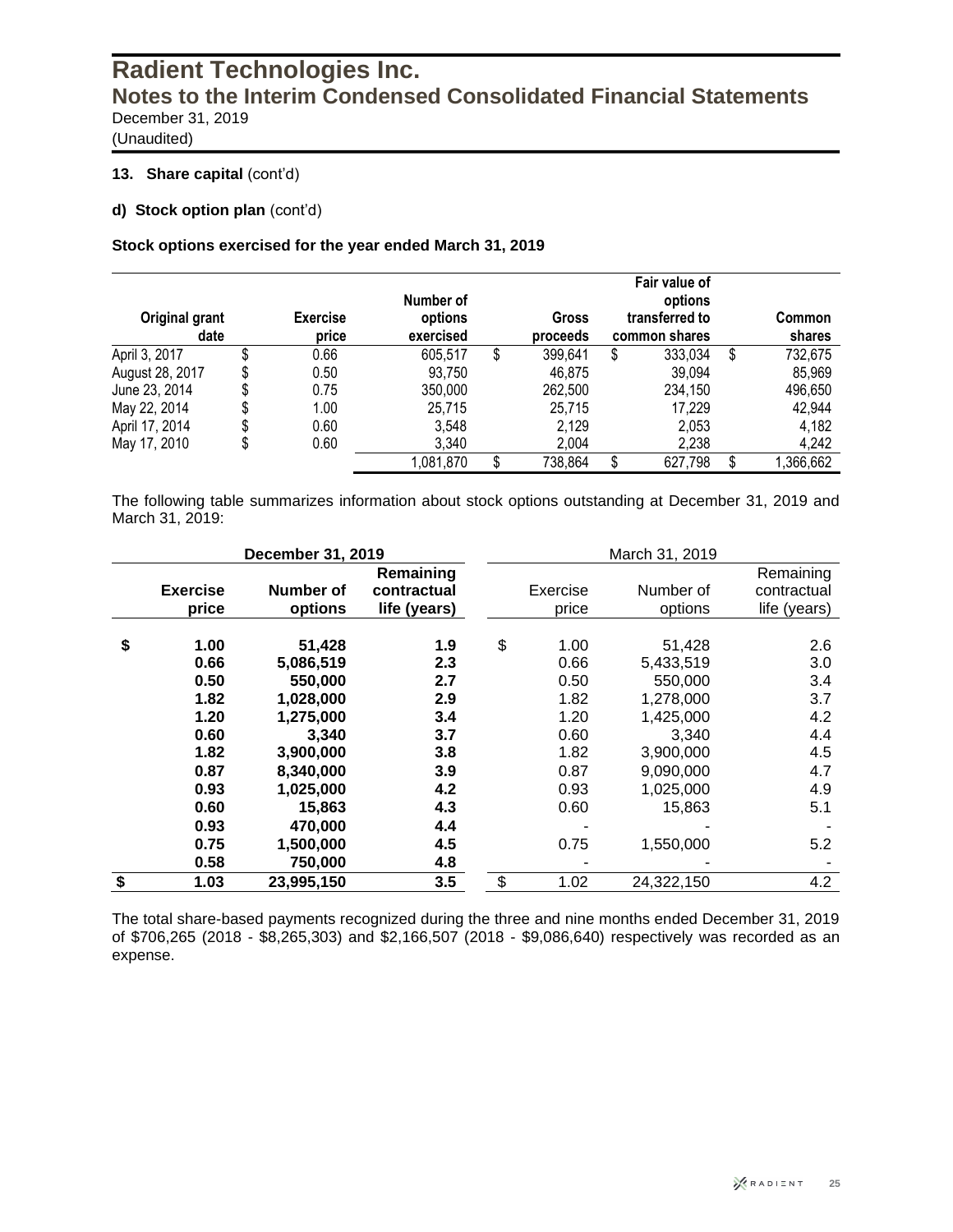(Unaudited)

#### 13. Share capital (cont'd)

**d) Stock option plan** (cont'd)

#### **Stock options exercised for the year ended March 31, 2019**

| Original grant<br>date | <b>Exercise</b><br>price | Number of<br>options<br>exercised | Gross<br>proceeds | Fair value of<br>options<br>transferred to<br>common shares |    | Common<br>shares |
|------------------------|--------------------------|-----------------------------------|-------------------|-------------------------------------------------------------|----|------------------|
| April 3, 2017          | \$<br>0.66               | 605,517                           | \$<br>399,641     | \$<br>333,034                                               | \$ | 732,675          |
| August 28, 2017        | \$<br>0.50               | 93,750                            | 46,875            | 39,094                                                      |    | 85,969           |
| June 23, 2014          | 0.75                     | 350,000                           | 262,500           | 234,150                                                     |    | 496,650          |
| May 22, 2014           | \$<br>1.00               | 25,715                            | 25,715            | 17,229                                                      |    | 42,944           |
| April 17, 2014         | \$<br>0.60               | 3,548                             | 2,129             | 2,053                                                       |    | 4,182            |
| May 17, 2010           | \$<br>0.60               | 3,340                             | 2,004             | 2,238                                                       |    | 4,242            |
|                        |                          | 1,081,870                         | \$<br>738,864     | \$<br>627,798                                               | S  | 1,366,662        |

The following table summarizes information about stock options outstanding at December 31, 2019 and March 31, 2019:

|                 | December 31, 2019 |              | March 31, 2019 |            |              |  |  |  |  |
|-----------------|-------------------|--------------|----------------|------------|--------------|--|--|--|--|
|                 |                   | Remaining    |                |            | Remaining    |  |  |  |  |
| <b>Exercise</b> | Number of         | contractual  | Exercise       | Number of  | contractual  |  |  |  |  |
| price           | options           | life (years) | price          | options    | life (years) |  |  |  |  |
|                 |                   |              |                |            |              |  |  |  |  |
| \$<br>1.00      | 51,428            | 1.9          | \$<br>1.00     | 51,428     | 2.6          |  |  |  |  |
| 0.66            | 5,086,519         | 2.3          | 0.66           | 5,433,519  | 3.0          |  |  |  |  |
| 0.50            | 550,000           | 2.7          | 0.50           | 550,000    | 3.4          |  |  |  |  |
| 1.82            | 1,028,000         | 2.9          | 1.82           | 1,278,000  | 3.7          |  |  |  |  |
| 1.20            | 1,275,000         | 3.4          | 1.20           | 1,425,000  | 4.2          |  |  |  |  |
| 0.60            | 3,340             | 3.7          | 0.60           | 3,340      | 4.4          |  |  |  |  |
| 1.82            | 3,900,000         | 3.8          | 1.82           | 3,900,000  | 4.5          |  |  |  |  |
| 0.87            | 8.340.000         | 3.9          | 0.87           | 9,090,000  | 4.7          |  |  |  |  |
| 0.93            | 1,025,000         | 4.2          | 0.93           | 1,025,000  | 4.9          |  |  |  |  |
| 0.60            | 15,863            | 4.3          | 0.60           | 15,863     | 5.1          |  |  |  |  |
| 0.93            | 470,000           | 4.4          |                |            |              |  |  |  |  |
| 0.75            | 1,500,000         | 4.5          | 0.75           | 1,550,000  | 5.2          |  |  |  |  |
| 0.58            | 750,000           | 4.8          |                |            |              |  |  |  |  |
| \$<br>1.03      | 23,995,150        | 3.5          | \$<br>1.02     | 24,322,150 | 4.2          |  |  |  |  |

The total share-based payments recognized during the three and nine months ended December 31, 2019 of \$706,265 (2018 - \$8,265,303) and \$2,166,507 (2018 - \$9,086,640) respectively was recorded as an expense.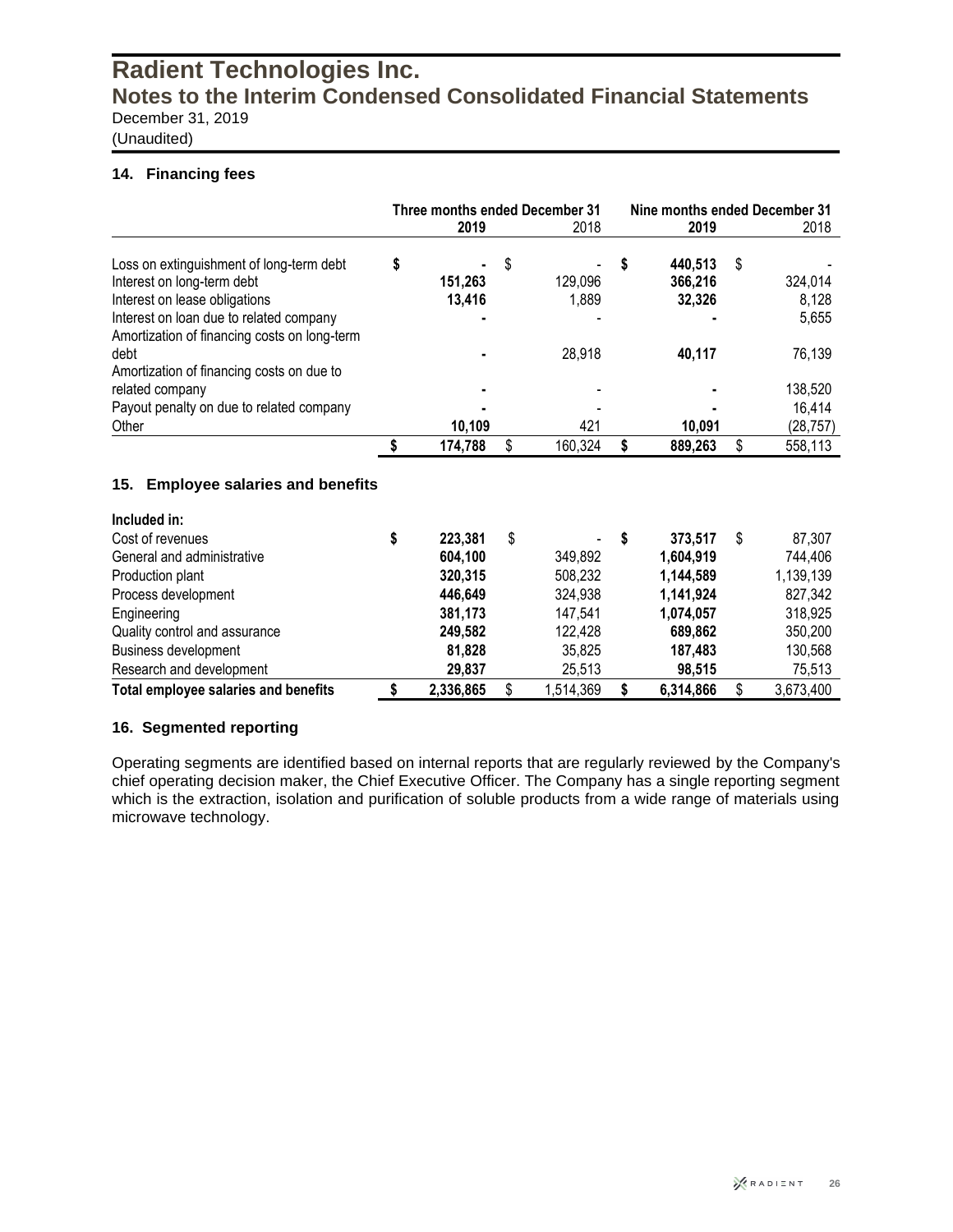(Unaudited)

#### **14. Financing fees**

|                                                                                         | Three months ended December 31 |         |    |         |    | Nine months ended December 31 |    |           |  |  |
|-----------------------------------------------------------------------------------------|--------------------------------|---------|----|---------|----|-------------------------------|----|-----------|--|--|
|                                                                                         |                                | 2019    |    | 2018    |    | 2019                          |    | 2018      |  |  |
| Loss on extinguishment of long-term debt                                                | \$                             |         | \$ |         | \$ | 440.513                       | S  |           |  |  |
| Interest on long-term debt                                                              |                                | 151,263 |    | 129,096 |    | 366,216                       |    | 324,014   |  |  |
| Interest on lease obligations                                                           |                                | 13,416  |    | 1,889   |    | 32,326                        |    | 8,128     |  |  |
| Interest on loan due to related company<br>Amortization of financing costs on long-term |                                |         |    |         |    |                               |    | 5,655     |  |  |
| debt                                                                                    |                                |         |    | 28,918  |    | 40,117                        |    | 76,139    |  |  |
| Amortization of financing costs on due to                                               |                                |         |    |         |    |                               |    |           |  |  |
| related company                                                                         |                                |         |    |         |    |                               |    | 138,520   |  |  |
| Payout penalty on due to related company                                                |                                |         |    |         |    |                               |    | 16,414    |  |  |
| Other                                                                                   |                                | 10,109  |    | 421     |    | 10,091                        |    | (28, 757) |  |  |
|                                                                                         |                                | 174,788 |    | 160,324 | \$ | 889,263                       | \$ | 558,113   |  |  |
| <b>Employee salaries and benefits</b><br>15.                                            |                                |         |    |         |    |                               |    |           |  |  |
| Included in:                                                                            |                                |         |    |         |    |                               |    |           |  |  |

| Cost of revenues                     | 223,381   | S | $\sim$    | S | 373.517   | 87,307    |
|--------------------------------------|-----------|---|-----------|---|-----------|-----------|
| General and administrative           | 604.100   |   | 349.892   |   | 1.604.919 | 744,406   |
| Production plant                     | 320,315   |   | 508,232   |   | 1,144,589 | 1,139,139 |
| Process development                  | 446.649   |   | 324,938   |   | 1,141,924 | 827,342   |
| Engineering                          | 381,173   |   | 147.541   |   | 1,074,057 | 318,925   |
| Quality control and assurance        | 249,582   |   | 122,428   |   | 689,862   | 350,200   |
| Business development                 | 81.828    |   | 35.825    |   | 187.483   | 130,568   |
| Research and development             | 29,837    |   | 25.513    |   | 98.515    | 75,513    |
| Total employee salaries and benefits | 2,336,865 |   | 1,514,369 |   | 6,314,866 | 3,673,400 |

#### **16. Segmented reporting**

Operating segments are identified based on internal reports that are regularly reviewed by the Company's chief operating decision maker, the Chief Executive Officer. The Company has a single reporting segment which is the extraction, isolation and purification of soluble products from a wide range of materials using microwave technology.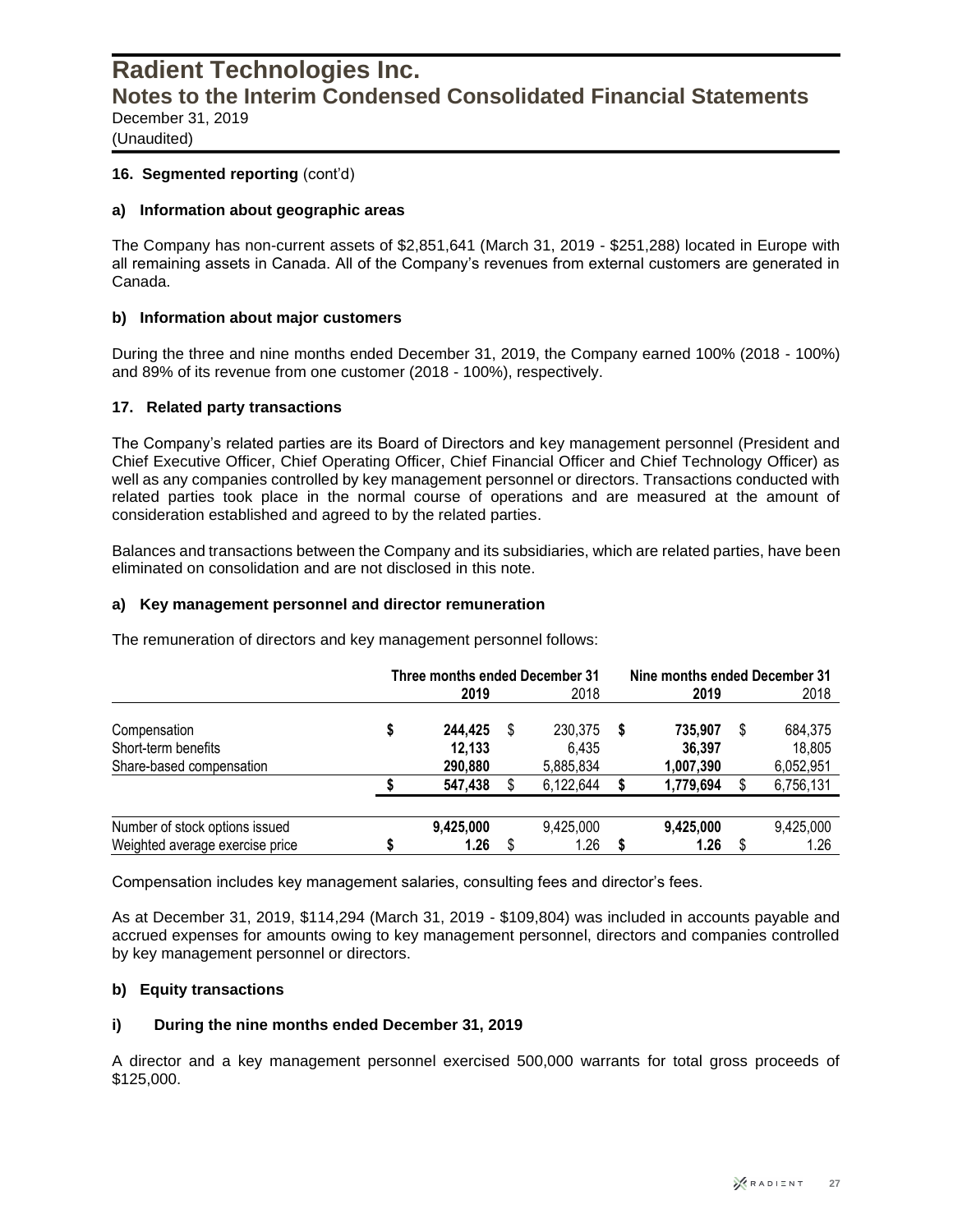(Unaudited)

#### 16. Segmented reporting (cont'd)

#### **a) Information about geographic areas**

The Company has non-current assets of \$2,851,641 (March 31, 2019 - \$251,288) located in Europe with all remaining assets in Canada. All of the Company's revenues from external customers are generated in Canada.

#### **b) Information about major customers**

During the three and nine months ended December 31, 2019, the Company earned 100% (2018 - 100%) and 89% of its revenue from one customer (2018 - 100%), respectively.

#### **17. Related party transactions**

The Company's related parties are its Board of Directors and key management personnel (President and Chief Executive Officer, Chief Operating Officer, Chief Financial Officer and Chief Technology Officer) as well as any companies controlled by key management personnel or directors. Transactions conducted with related parties took place in the normal course of operations and are measured at the amount of consideration established and agreed to by the related parties.

Balances and transactions between the Company and its subsidiaries, which are related parties, have been eliminated on consolidation and are not disclosed in this note.

#### **a) Key management personnel and director remuneration**

The remuneration of directors and key management personnel follows:

|                                                                   |   | Three months ended December 31<br>2019 | 2018                          |   | Nine months ended December 31<br>2019 |   | 2018                           |
|-------------------------------------------------------------------|---|----------------------------------------|-------------------------------|---|---------------------------------------|---|--------------------------------|
| Compensation<br>Short-term benefits<br>Share-based compensation   | S | 244.425<br>12,133<br>290,880           | 230,375<br>6,435<br>5,885,834 | S | 735.907<br>36,397<br>1,007,390        | S | 684,375<br>18,805<br>6,052,951 |
|                                                                   |   | 547,438                                | 6,122,644                     |   | 1,779,694                             |   | 6,756,131                      |
| Number of stock options issued<br>Weighted average exercise price |   | 9,425,000<br>1.26                      | 9,425,000<br>1.26             |   | 9,425,000<br>1.26                     |   | 9,425,000<br>1.26              |

Compensation includes key management salaries, consulting fees and director's fees.

As at December 31, 2019, \$114,294 (March 31, 2019 - \$109,804) was included in accounts payable and accrued expenses for amounts owing to key management personnel, directors and companies controlled by key management personnel or directors.

#### **b) Equity transactions**

#### **i) During the nine months ended December 31, 2019**

A director and a key management personnel exercised 500,000 warrants for total gross proceeds of \$125,000.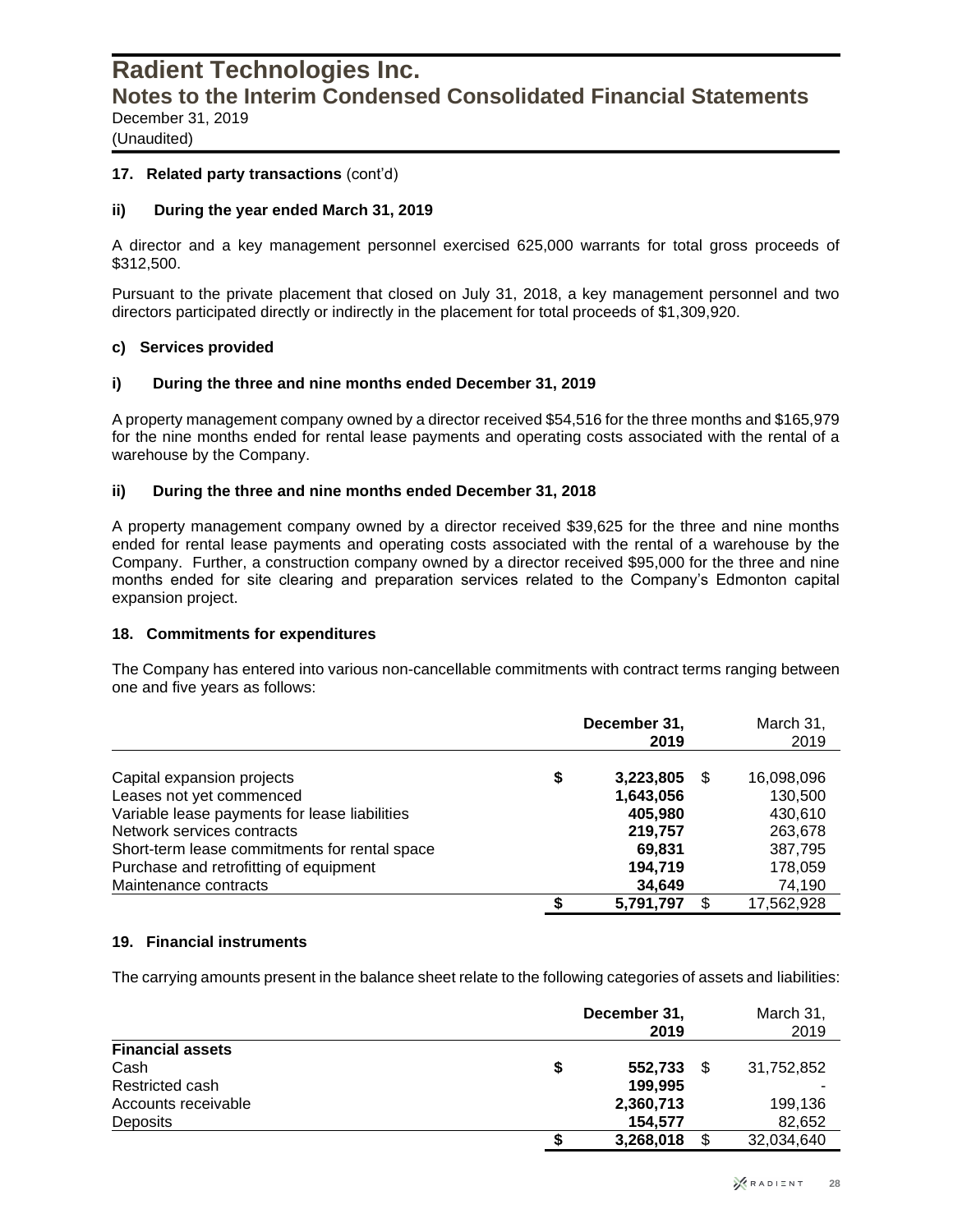(Unaudited)

#### **17. Related party transactions** (cont'd)

#### **ii) During the year ended March 31, 2019**

A director and a key management personnel exercised 625,000 warrants for total gross proceeds of \$312,500.

Pursuant to the private placement that closed on July 31, 2018, a key management personnel and two directors participated directly or indirectly in the placement for total proceeds of \$1,309,920.

#### **c) Services provided**

#### **i) During the three and nine months ended December 31, 2019**

A property management company owned by a director received \$54,516 for the three months and \$165,979 for the nine months ended for rental lease payments and operating costs associated with the rental of a warehouse by the Company.

#### **ii) During the three and nine months ended December 31, 2018**

A property management company owned by a director received \$39,625 for the three and nine months ended for rental lease payments and operating costs associated with the rental of a warehouse by the Company. Further, a construction company owned by a director received \$95,000 for the three and nine months ended for site clearing and preparation services related to the Company's Edmonton capital expansion project.

#### **18. Commitments for expenditures**

The Company has entered into various non-cancellable commitments with contract terms ranging between one and five years as follows:

|                                               | December 31,<br>2019 | March 31,<br>2019 |  |  |
|-----------------------------------------------|----------------------|-------------------|--|--|
| Capital expansion projects                    | \$<br>3,223,805      | 16,098,096        |  |  |
| Leases not yet commenced                      | 1,643,056            | 130,500           |  |  |
| Variable lease payments for lease liabilities | 405.980              | 430,610           |  |  |
| Network services contracts                    | 219,757              | 263,678           |  |  |
| Short-term lease commitments for rental space | 69,831               | 387,795           |  |  |
| Purchase and retrofitting of equipment        | 194.719              | 178,059           |  |  |
| Maintenance contracts                         | 34.649               | 74,190            |  |  |
|                                               | 5,791,797            | 17,562,928        |  |  |

#### **19. Financial instruments**

The carrying amounts present in the balance sheet relate to the following categories of assets and liabilities:

|                         |   | December 31,<br>2019 |  |            |  |  |  |  |
|-------------------------|---|----------------------|--|------------|--|--|--|--|
| <b>Financial assets</b> |   |                      |  |            |  |  |  |  |
| Cash                    | S | 552,733              |  | 31,752,852 |  |  |  |  |
| Restricted cash         |   | 199.995              |  |            |  |  |  |  |
| Accounts receivable     |   | 2,360,713            |  | 199,136    |  |  |  |  |
| Deposits                |   | 154.577              |  | 82,652     |  |  |  |  |
|                         | S | 3,268,018            |  | 32,034,640 |  |  |  |  |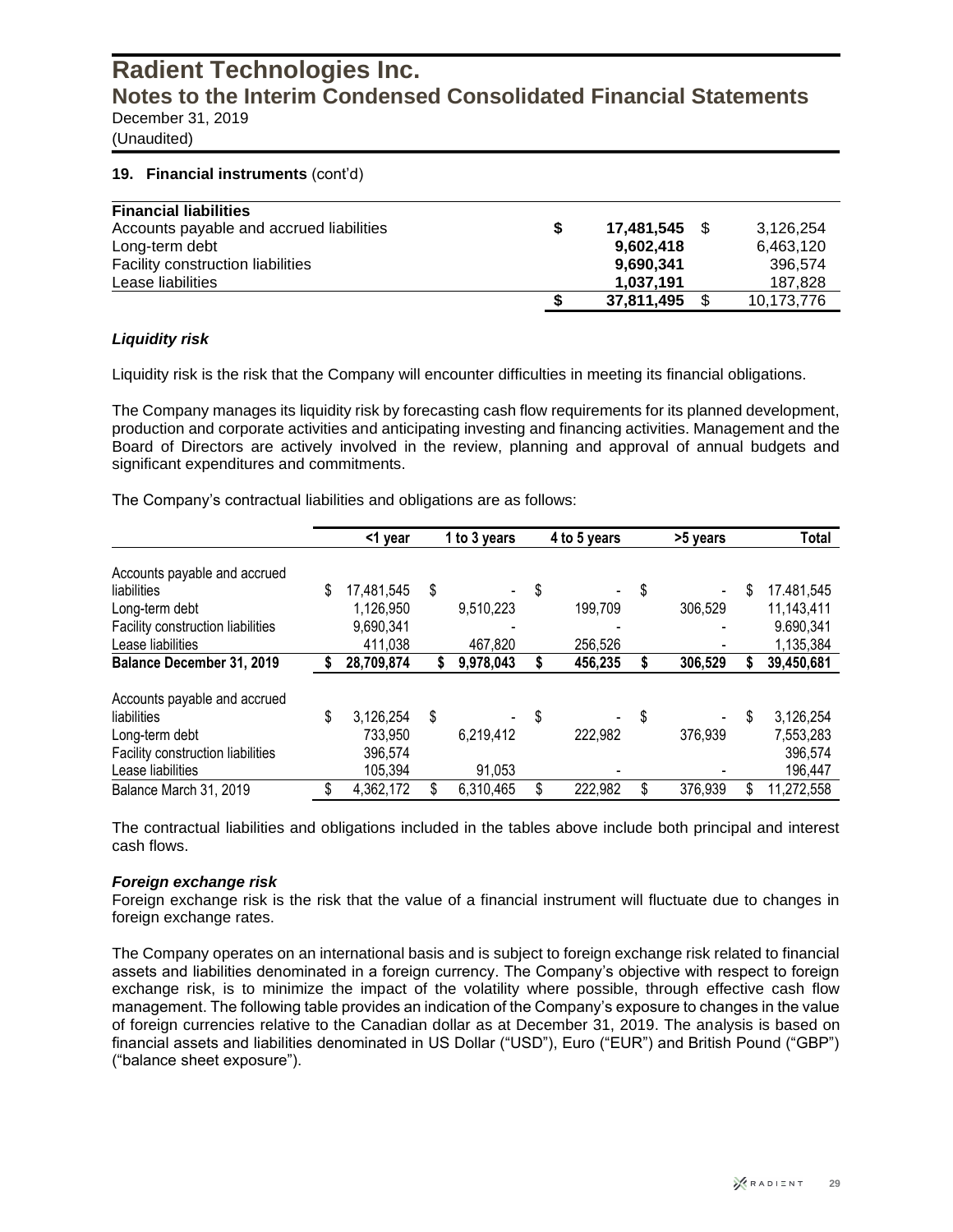(Unaudited)

#### **19. Financial instruments** (cont'd)

| <b>Financial liabilities</b>             |            |            |
|------------------------------------------|------------|------------|
| Accounts payable and accrued liabilities | 17.481.545 | 3.126.254  |
| Long-term debt                           | 9.602.418  | 6,463,120  |
| <b>Facility construction liabilities</b> | 9.690.341  | 396.574    |
| Lease liabilities                        | 1.037.191  | 187.828    |
|                                          | 37,811,495 | 10,173,776 |

#### *Liquidity risk*

Liquidity risk is the risk that the Company will encounter difficulties in meeting its financial obligations.

The Company manages its liquidity risk by forecasting cash flow requirements for its planned development, production and corporate activities and anticipating investing and financing activities. Management and the Board of Directors are actively involved in the review, planning and approval of annual budgets and significant expenditures and commitments.

The Company's contractual liabilities and obligations are as follows:

|                                          |    | <1 year    | 1 to 3 years |           | 4 to 5 years  |    | >5 years |    | Total      |
|------------------------------------------|----|------------|--------------|-----------|---------------|----|----------|----|------------|
| Accounts payable and accrued             |    |            |              |           |               |    |          |    |            |
| liabilities                              | \$ | 17,481,545 | \$           |           | \$            | \$ |          | S  | 17.481,545 |
| Long-term debt                           |    | 1,126,950  |              | 9,510,223 | 199,709       |    | 306,529  |    | 11,143,411 |
| <b>Facility construction liabilities</b> |    | 9,690,341  |              |           |               |    |          |    | 9.690,341  |
| Lease liabilities                        |    | 411,038    |              | 467,820   | 256,526       |    |          |    | 1,135,384  |
| Balance December 31, 2019                |    | 28,709,874 |              | 9,978,043 | 456,235       |    | 306,529  |    | 39,450,681 |
| Accounts payable and accrued             |    |            |              |           |               |    |          |    |            |
| liabilities                              | \$ | 3,126,254  | \$           |           | \$            | \$ |          | S  | 3,126,254  |
| Long-term debt                           |    | 733,950    |              | 6,219,412 | 222,982       |    | 376,939  |    | 7,553,283  |
| Facility construction liabilities        |    | 396,574    |              |           |               |    |          |    | 396,574    |
| Lease liabilities                        |    | 105,394    |              | 91,053    |               |    |          |    | 196,447    |
| Balance March 31, 2019                   | \$ | 4,362,172  |              | 6,310,465 | \$<br>222,982 | S  | 376,939  | \$ | 11,272,558 |

The contractual liabilities and obligations included in the tables above include both principal and interest cash flows.

#### *Foreign exchange risk*

Foreign exchange risk is the risk that the value of a financial instrument will fluctuate due to changes in foreign exchange rates.

The Company operates on an international basis and is subject to foreign exchange risk related to financial assets and liabilities denominated in a foreign currency. The Company's objective with respect to foreign exchange risk, is to minimize the impact of the volatility where possible, through effective cash flow management. The following table provides an indication of the Company's exposure to changes in the value of foreign currencies relative to the Canadian dollar as at December 31, 2019. The analysis is based on financial assets and liabilities denominated in US Dollar ("USD"), Euro ("EUR") and British Pound ("GBP") ("balance sheet exposure").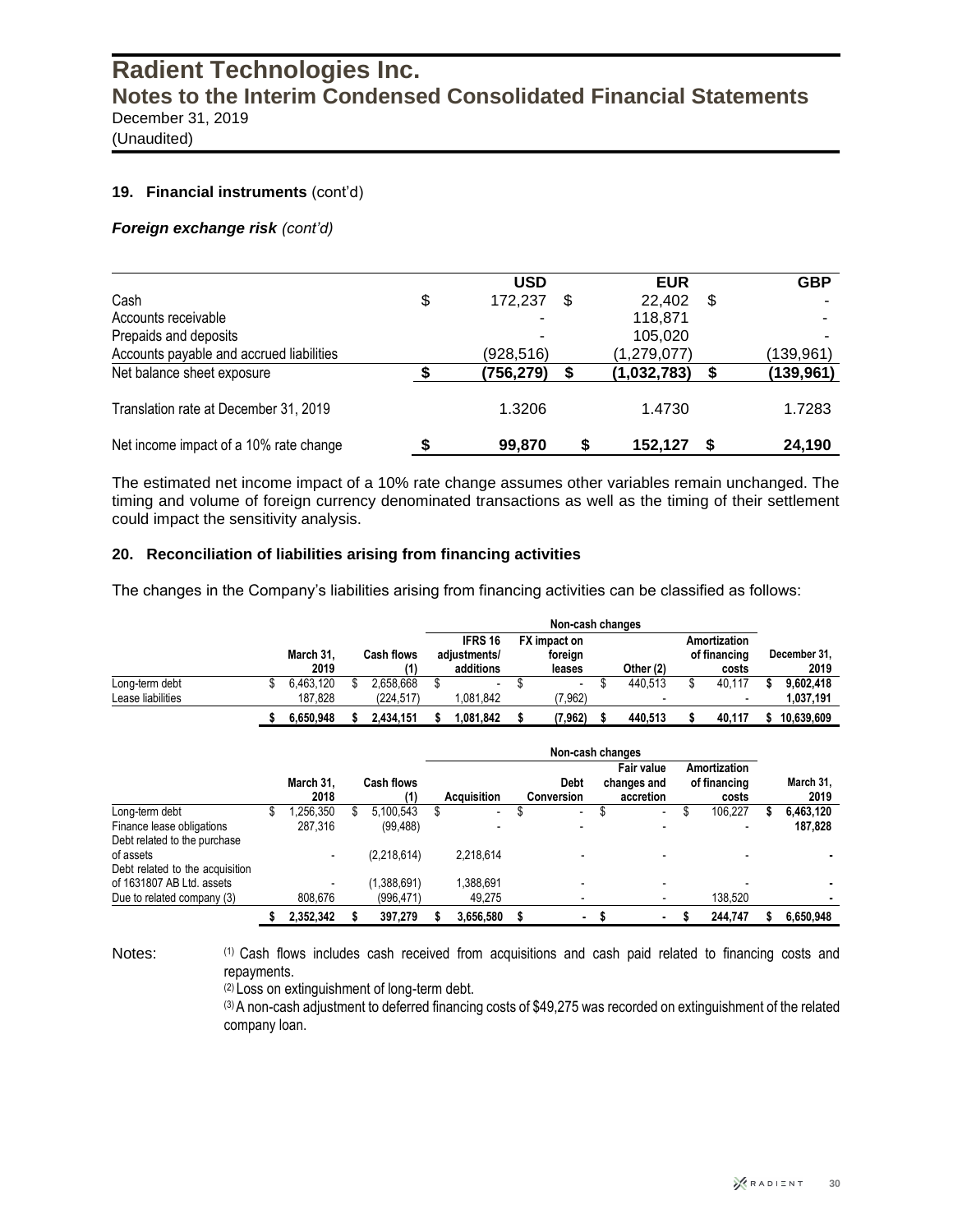(Unaudited)

#### **19. Financial instruments** (cont'd)

#### *Foreign exchange risk (cont'd)*

|                                          | <b>USD</b>    |   | <b>EUR</b>  |    | <b>GBP</b> |
|------------------------------------------|---------------|---|-------------|----|------------|
| Cash                                     | \$<br>172,237 | S | 22,402      | \$ |            |
| Accounts receivable                      |               |   | 118,871     |    |            |
| Prepaids and deposits                    |               |   | 105,020     |    |            |
| Accounts payable and accrued liabilities | (928,516)     |   | (1,279,077) |    | (139,961)  |
| Net balance sheet exposure               | (756,279)     |   | (1,032,783) | S  | (139,961)  |
| Translation rate at December 31, 2019    | 1.3206        |   | 1.4730      |    | 1.7283     |
| Net income impact of a 10% rate change   | 99,870        |   | 152,127     |    | 24,190     |

The estimated net income impact of a 10% rate change assumes other variables remain unchanged. The timing and volume of foreign currency denominated transactions as well as the timing of their settlement could impact the sensitivity analysis.

#### **20. Reconciliation of liabilities arising from financing activities**

The changes in the Company's liabilities arising from financing activities can be classified as follows:

|                   |           |                   |           | Non-cash changes               |                          |                         |                          |  |                              |  |        |              |            |
|-------------------|-----------|-------------------|-----------|--------------------------------|--------------------------|-------------------------|--------------------------|--|------------------------------|--|--------|--------------|------------|
|                   | March 31, | <b>Cash flows</b> |           | <b>IFRS 16</b><br>adiustments/ |                          | FX impact on<br>foreign |                          |  | Amortization<br>of financing |  |        | December 31, |            |
|                   | 2019      |                   |           |                                | additions                |                         | leases                   |  | Other (2)                    |  | costs  |              | 2019       |
| Long-term debt    | 6.463.120 |                   | 2.658.668 |                                | $\overline{\phantom{a}}$ |                         | $\overline{\phantom{a}}$ |  | 440.513                      |  | 40.117 |              | 9.602.418  |
| Lease liabilities | 187.828   |                   | (224.517) |                                | 1.081.842                |                         | (7,962)                  |  |                              |  |        |              | 1,037,191  |
|                   | 6.650.948 |                   | 2.434.151 |                                | 842.081 ا                |                         | (7,962)                  |  | 440.513                      |  | 40.117 |              | 10.639.609 |

|                                 |   | Non-cash changes  |  |                   |                    |                          |  |                           |  |                                        |                                       |         |  |                   |
|---------------------------------|---|-------------------|--|-------------------|--------------------|--------------------------|--|---------------------------|--|----------------------------------------|---------------------------------------|---------|--|-------------------|
|                                 |   | March 31.<br>2018 |  | Cash flows<br>(1) | <b>Acquisition</b> |                          |  | <b>Debt</b><br>Conversion |  | Fair value<br>changes and<br>accretion | Amortization<br>of financing<br>costs |         |  | March 31,<br>2019 |
| Long-term debt                  | Φ | ,256,350          |  | 5.100.543         |                    | $\overline{\phantom{a}}$ |  |                           |  | $\overline{\phantom{a}}$               |                                       | 106.227 |  | 6,463,120         |
| Finance lease obligations       |   | 287.316           |  | (99, 488)         |                    |                          |  |                           |  |                                        |                                       |         |  | 187,828           |
| Debt related to the purchase    |   |                   |  |                   |                    |                          |  |                           |  |                                        |                                       |         |  |                   |
| of assets                       |   |                   |  | (2,218,614)       |                    | 2.218.614                |  |                           |  |                                        |                                       |         |  |                   |
| Debt related to the acquisition |   |                   |  |                   |                    |                          |  |                           |  |                                        |                                       |         |  |                   |
| of 1631807 AB Ltd. assets       |   |                   |  | 1,388,691         |                    | 1.388.691                |  |                           |  |                                        |                                       |         |  |                   |
| Due to related company (3)      |   | 808,676           |  | (996, 471)        |                    | 49,275                   |  | $\overline{\phantom{a}}$  |  |                                        |                                       | 138,520 |  |                   |
|                                 |   | 2.352.342         |  | 397.279           |                    | 3.656.580                |  | ٠                         |  | ۰.                                     |                                       | 244.747 |  | 6.650.948         |

Notes: (1) Cash flows includes cash received from acquisitions and cash paid related to financing costs and repayments.

(2) Loss on extinguishment of long-term debt.

(3) A non-cash adjustment to deferred financing costs of \$49,275 was recorded on extinguishment of the related company loan.